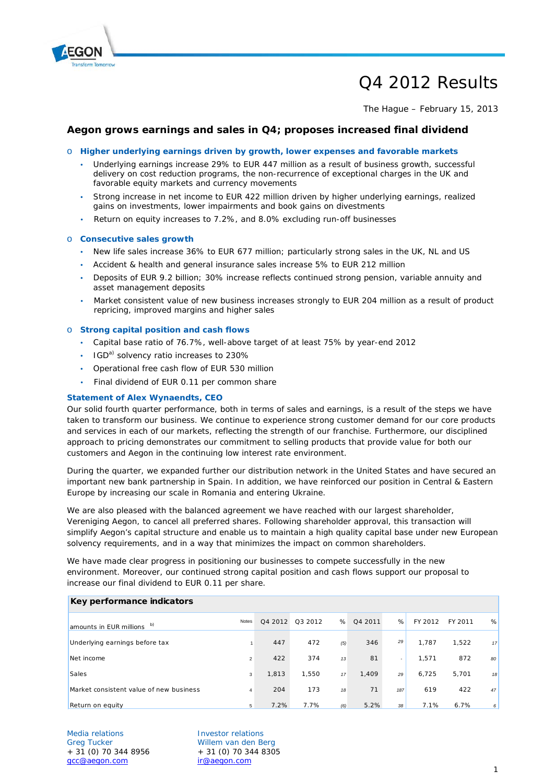

# Q4 2012 Results

The Hague – February 15, 2013

## **Aegon grows earnings and sales in Q4; proposes increased final dividend**

- o **Higher underlying earnings driven by growth, lower expenses and favorable markets**
	- Underlying earnings increase 29% to EUR 447 million as a result of business growth, successful delivery on cost reduction programs, the non-recurrence of exceptional charges in the UK and favorable equity markets and currency movements
	- Strong increase in net income to EUR 422 million driven by higher underlying earnings, realized gains on investments, lower impairments and book gains on divestments
	- Return on equity increases to 7.2%, and 8.0% excluding run-off businesses

#### o **Consecutive sales growth**

- New life sales increase 36% to EUR 677 million; particularly strong sales in the UK, NL and US
- Accident & health and general insurance sales increase 5% to EUR 212 million
- Deposits of EUR 9.2 billion; 30% increase reflects continued strong pension, variable annuity and asset management deposits
- Market consistent value of new business increases strongly to EUR 204 million as a result of product repricing, improved margins and higher sales

#### o **Strong capital position and cash flows**

- Capital base ratio of 76.7%, well-above target of at least 75% by year-end 2012
- IGD<sup>a)</sup> solvency ratio increases to 230%
- Operational free cash flow of EUR 530 million
- Final dividend of EUR 0.11 per common share

#### **Statement of Alex Wynaendts, CEO**

Our solid fourth quarter performance, both in terms of sales and earnings, is a result of the steps we have taken to transform our business. We continue to experience strong customer demand for our core products and services in each of our markets, reflecting the strength of our franchise. Furthermore, our disciplined approach to pricing demonstrates our commitment to selling products that provide value for both our customers and Aegon in the continuing low interest rate environment.

During the quarter, we expanded further our distribution network in the United States and have secured an important new bank partnership in Spain. In addition, we have reinforced our position in Central & Eastern Europe by increasing our scale in Romania and entering Ukraine.

We are also pleased with the balanced agreement we have reached with our largest shareholder, Vereniging Aegon, to cancel all preferred shares. Following shareholder approval, this transaction will simplify Aegon's capital structure and enable us to maintain a high quality capital base under new European solvency requirements, and in a way that minimizes the impact on common shareholders.

We have made clear progress in positioning our businesses to compete successfully in the new environment. Moreover, our continued strong capital position and cash flows support our proposal to increase our final dividend to EUR 0.11 per share.

| Key performance indicators               |                |         |         |     |         |     |         |         |    |
|------------------------------------------|----------------|---------|---------|-----|---------|-----|---------|---------|----|
| amounts in EUR millions $\overline{b}$ ) | Notes          | Q4 2012 | Q3 2012 | %   | Q4 2011 | %   | FY 2012 | FY 2011 | %  |
| Underlying earnings before tax           |                | 447     | 472     | (5) | 346     | 29  | 1.787   | 1,522   | 17 |
| Net income                               | $\overline{2}$ | 422     | 374     | 13  | 81      |     | 1,571   | 872     | 80 |
| Sales                                    | 3              | 1,813   | 1,550   | 17  | 1,409   | 29  | 6,725   | 5,701   | 18 |
| Market consistent value of new business  | 4              | 204     | 173     | 18  | 71      | 187 | 619     | 422     | 47 |
| Return on equity                         | 5              | 7.2%    | 7.7%    | (6) | 5.2%    | 38  | 7.1%    | 6.7%    | 6  |

Media relations and all investor relations Greg Tucker Willem van den Berg [gcc@aegon.com](mailto:gcc@aegon.com) [ir@aegon.com](mailto:ir@aegon.com)

 $+ 31 (0) 70 344 8956$   $+ 31 (0) 70 344 8305$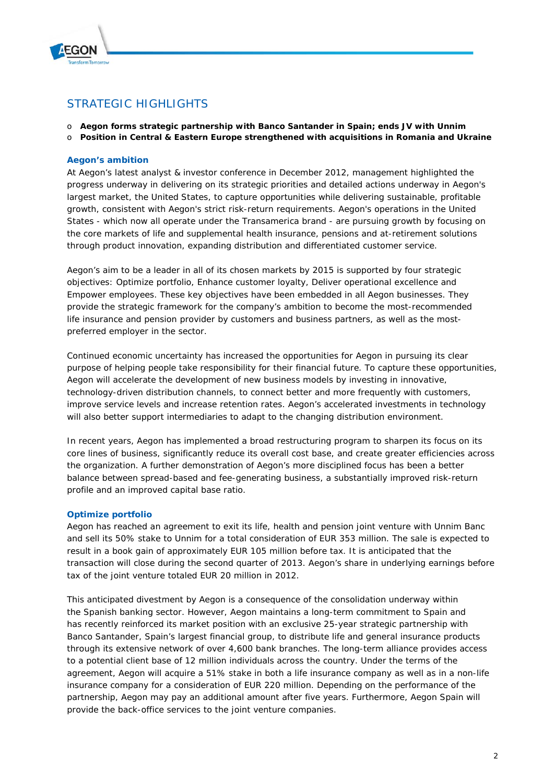

# STRATEGIC HIGHLIGHTS

- o **Aegon forms strategic partnership with Banco Santander in Spain; ends JV with Unnim**
- o **Position in Central & Eastern Europe strengthened with acquisitions in Romania and Ukraine**

## **Aegon's ambition**

At Aegon's latest analyst & investor conference in December 2012, management highlighted the progress underway in delivering on its strategic priorities and detailed actions underway in Aegon's largest market, the United States, to capture opportunities while delivering sustainable, profitable growth, consistent with Aegon's strict risk-return requirements. Aegon's operations in the United States - which now all operate under the Transamerica brand - are pursuing growth by focusing on the core markets of life and supplemental health insurance, pensions and at-retirement solutions through product innovation, expanding distribution and differentiated customer service.

Aegon's aim to be a leader in all of its chosen markets by 2015 is supported by four strategic objectives: Optimize portfolio, Enhance customer loyalty, Deliver operational excellence and Empower employees. These key objectives have been embedded in all Aegon businesses. They provide the strategic framework for the company's ambition to become the most-recommended life insurance and pension provider by customers and business partners, as well as the mostpreferred employer in the sector.

Continued economic uncertainty has increased the opportunities for Aegon in pursuing its clear purpose of helping people take responsibility for their financial future. To capture these opportunities, Aegon will accelerate the development of new business models by investing in innovative, technology-driven distribution channels, to connect better and more frequently with customers, improve service levels and increase retention rates. Aegon's accelerated investments in technology will also better support intermediaries to adapt to the changing distribution environment.

In recent years, Aegon has implemented a broad restructuring program to sharpen its focus on its core lines of business, significantly reduce its overall cost base, and create greater efficiencies across the organization. A further demonstration of Aegon's more disciplined focus has been a better balance between spread-based and fee-generating business, a substantially improved risk-return profile and an improved capital base ratio.

## **Optimize portfolio**

Aegon has reached an agreement to exit its life, health and pension joint venture with Unnim Banc and sell its 50% stake to Unnim for a total consideration of EUR 353 million. The sale is expected to result in a book gain of approximately EUR 105 million before tax. It is anticipated that the transaction will close during the second quarter of 2013. Aegon's share in underlying earnings before tax of the joint venture totaled EUR 20 million in 2012.

This anticipated divestment by Aegon is a consequence of the consolidation underway within the Spanish banking sector. However, Aegon maintains a long-term commitment to Spain and has recently reinforced its market position with an exclusive 25-year strategic partnership with Banco Santander, Spain's largest financial group, to distribute life and general insurance products through its extensive network of over 4,600 bank branches. The long-term alliance provides access to a potential client base of 12 million individuals across the country. Under the terms of the agreement, Aegon will acquire a 51% stake in both a life insurance company as well as in a non-life insurance company for a consideration of EUR 220 million. Depending on the performance of the partnership, Aegon may pay an additional amount after five years. Furthermore, Aegon Spain will provide the back-office services to the joint venture companies.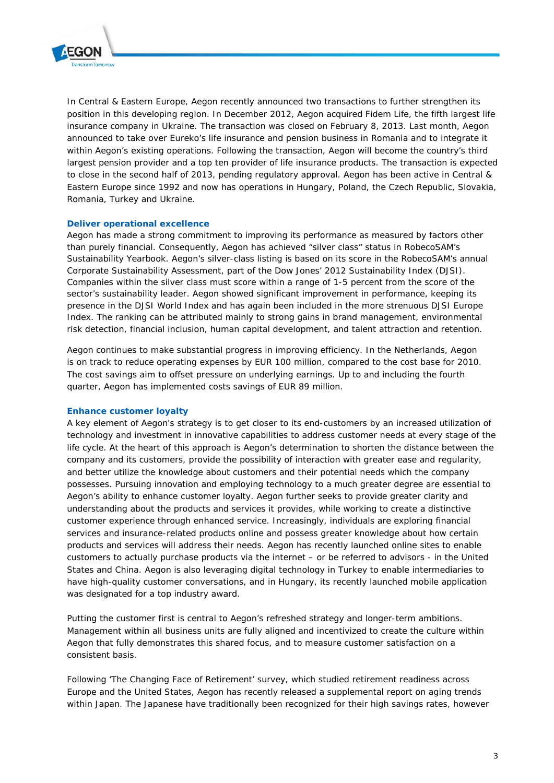

In Central & Eastern Europe, Aegon recently announced two transactions to further strengthen its position in this developing region. In December 2012, Aegon acquired Fidem Life, the fifth largest life insurance company in Ukraine. The transaction was closed on February 8, 2013. Last month, Aegon announced to take over Eureko's life insurance and pension business in Romania and to integrate it within Aegon's existing operations. Following the transaction, Aegon will become the country's third largest pension provider and a top ten provider of life insurance products. The transaction is expected to close in the second half of 2013, pending regulatory approval. Aegon has been active in Central & Eastern Europe since 1992 and now has operations in Hungary, Poland, the Czech Republic, Slovakia, Romania, Turkey and Ukraine.

## **Deliver operational excellence**

Aegon has made a strong commitment to improving its performance as measured by factors other than purely financial. Consequently, Aegon has achieved "silver class" status in RobecoSAM's Sustainability Yearbook. Aegon's silver-class listing is based on its score in the RobecoSAM's annual Corporate Sustainability Assessment, part of the Dow Jones' 2012 Sustainability Index (DJSI). Companies within the silver class must score within a range of 1-5 percent from the score of the sector's sustainability leader. Aegon showed significant improvement in performance, keeping its presence in the DJSI World Index and has again been included in the more strenuous DJSI Europe Index. The ranking can be attributed mainly to strong gains in brand management, environmental risk detection, financial inclusion, human capital development, and talent attraction and retention.

Aegon continues to make substantial progress in improving efficiency. In the Netherlands, Aegon is on track to reduce operating expenses by EUR 100 million, compared to the cost base for 2010. The cost savings aim to offset pressure on underlying earnings. Up to and including the fourth quarter, Aegon has implemented costs savings of EUR 89 million.

## **Enhance customer loyalty**

A key element of Aegon's strategy is to get closer to its end-customers by an increased utilization of technology and investment in innovative capabilities to address customer needs at every stage of the life cycle. At the heart of this approach is Aegon's determination to shorten the distance between the company and its customers, provide the possibility of interaction with greater ease and regularity, and better utilize the knowledge about customers and their potential needs which the company possesses. Pursuing innovation and employing technology to a much greater degree are essential to Aegon's ability to enhance customer loyalty. Aegon further seeks to provide greater clarity and understanding about the products and services it provides, while working to create a distinctive customer experience through enhanced service. Increasingly, individuals are exploring financial services and insurance-related products online and possess greater knowledge about how certain products and services will address their needs. Aegon has recently launched online sites to enable customers to actually purchase products via the internet – or be referred to advisors - in the United States and China. Aegon is also leveraging digital technology in Turkey to enable intermediaries to have high-quality customer conversations, and in Hungary, its recently launched mobile application was designated for a top industry award.

Putting the customer first is central to Aegon's refreshed strategy and longer-term ambitions. Management within all business units are fully aligned and incentivized to create the culture within Aegon that fully demonstrates this shared focus, and to measure customer satisfaction on a consistent basis.

Following 'The Changing Face of Retirement' survey, which studied retirement readiness across Europe and the United States, Aegon has recently released a supplemental report on aging trends within Japan. The Japanese have traditionally been recognized for their high savings rates, however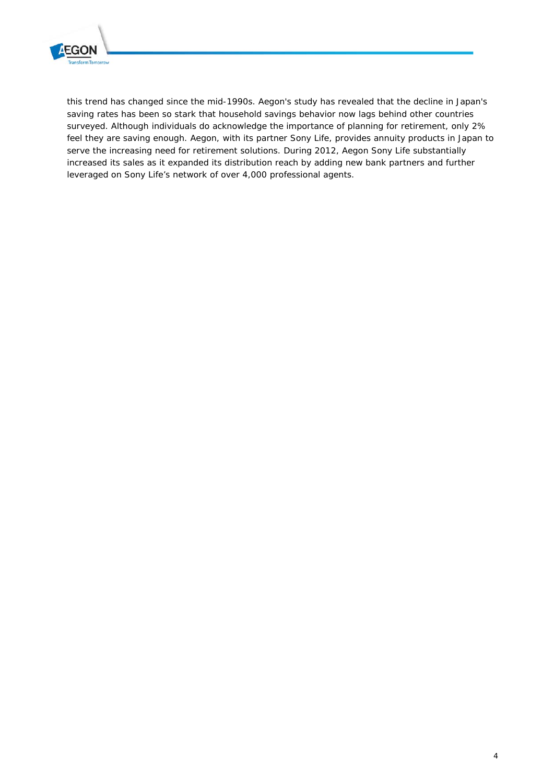

this trend has changed since the mid-1990s. Aegon's study has revealed that the decline in Japan's saving rates has been so stark that household savings behavior now lags behind other countries surveyed. Although individuals do acknowledge the importance of planning for retirement, only 2% feel they are saving enough. Aegon, with its partner Sony Life, provides annuity products in Japan to serve the increasing need for retirement solutions. During 2012, Aegon Sony Life substantially increased its sales as it expanded its distribution reach by adding new bank partners and further leveraged on Sony Life's network of over 4,000 professional agents.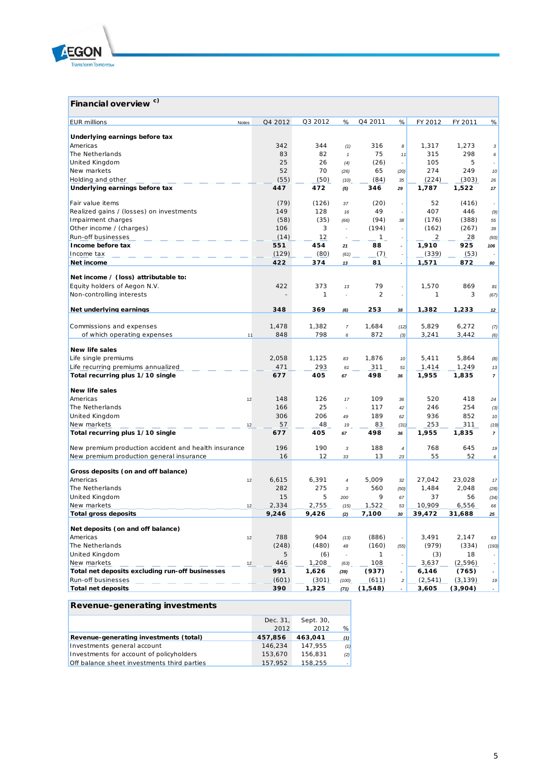

# **Financial overview c)**

| <b>EUR</b> millions<br>Notes                         | Q4 2012         | Q3 2012    | %                          | Q4 2011      | %                        | FY 2012      | FY 2011      | %                        |
|------------------------------------------------------|-----------------|------------|----------------------------|--------------|--------------------------|--------------|--------------|--------------------------|
|                                                      |                 |            |                            |              |                          |              |              |                          |
| Underlying earnings before tax<br>Americas           | 342             | 344        |                            | 316          |                          | 1,317        | 1,273        |                          |
| The Netherlands                                      | 83              | 82         | (1)<br>$\pmb{\mathcal{I}}$ | 75           | 8<br>11                  | 315          | 298          | 3<br>6                   |
| United Kingdom                                       | 25              | 26         | (4)                        | (26)         |                          | 105          | 5            |                          |
| New markets                                          | 52              | 70         | (26)                       | 65           | (20)                     | 274          | 249          | 10                       |
| Holding and other                                    | (55)            | (50)       | (10)                       | (84)         | 35                       | (224)        | (303)        | 26                       |
| Underlying earnings before tax                       | 447             | 472        | (5)                        | 346          | 29                       | 1,787        | 1,522        | 17                       |
|                                                      |                 |            |                            |              |                          |              |              |                          |
| Fair value items                                     | (79)            | (126)      | 37                         | (20)         |                          | 52           | (416)        |                          |
| Realized gains / (losses) on investments             | 149             | 128        | 16                         | 49           |                          | 407          | 446          | (9)                      |
| Impairment charges                                   | (58)            | (35)       | (66)                       | (94)         | 38                       | (176)        | (388)        | 55                       |
| Other income / (charges)                             | 106             | 3          | ÷.                         | (194)        |                          | (162)        | (267)        | 39                       |
| Run-off businesses                                   | (14)            | 12         |                            | $\mathbf{1}$ |                          | 2            | 28           | (93)                     |
| Income before tax                                    | 551             | 454        | 21                         | 88           | $\overline{a}$           | 1,910        | 925          | 106                      |
| Income tax                                           | (129)           | (80)       | (61)                       | (7)          | ٠                        | (339)        | (53)         |                          |
| Net income                                           | 422             | 374        | 13                         | 81           | $\overline{a}$           | 1,571        | 872          | 80                       |
| Net income / (loss) attributable to:                 |                 |            |                            |              |                          |              |              |                          |
| Equity holders of Aegon N.V.                         | 422             | 373        | 13                         | 79           |                          | 1,570        | 869          | 81                       |
| Non-controlling interests                            |                 | 1          |                            | 2            | $\overline{\phantom{a}}$ | $\mathbf{1}$ | 3            | (67)                     |
|                                                      |                 |            |                            |              |                          |              |              |                          |
| Net underlying earnings                              | 348             | 369        | (6)                        | 253          | 38                       | 1,382        | 1,233        | 12                       |
|                                                      |                 |            |                            |              |                          |              |              |                          |
| Commissions and expenses                             | 1,478           | 1,382      | $\overline{7}$             | 1,684        | (12)                     | 5,829        | 6,272        | (7)                      |
| of which operating expenses                          | 848<br>11       | 798        | 6                          | 872          | (3)                      | 3,241        | 3,442        | (6)                      |
| <b>New life sales</b>                                |                 |            |                            |              |                          |              |              |                          |
| Life single premiums                                 | 2,058           | 1,125      | 83                         | 1,876        | 10                       | 5,411        | 5,864        | (8)                      |
| Life recurring premiums annualized                   | 471             | 293        | 61                         | 311          | 51                       | 1,414        | 1,249        | 13                       |
| Total recurring plus 1/10 single                     | 677             | 405        | 67                         | 498          | 36                       | 1,955        | 1,835        | 7                        |
|                                                      |                 |            |                            |              |                          |              |              |                          |
| <b>New life sales</b>                                |                 |            |                            |              |                          |              |              |                          |
| Americas                                             | 148<br>12       | 126        | 17                         | 109          | 36                       | 520          | 418          | 24                       |
| The Netherlands                                      | 166             | 25         | ÷,                         | 117          | 42                       | 246          | 254          | (3)                      |
| United Kingdom                                       | 306             | 206        | 49                         | 189          | 62                       | 936          | 852          | 10                       |
| New markets<br>Total recurring plus 1/10 single      | 57<br>12<br>677 | 48<br>405  | 19<br>67                   | 83<br>498    | (31)<br>36               | 253<br>1,955 | 311<br>1,835 | (19)<br>$\overline{7}$   |
|                                                      |                 |            |                            |              |                          |              |              |                          |
| New premium production accident and health insurance | 196             | 190        | 3                          | 188          | $\boldsymbol{4}$         | 768          | 645          | 19                       |
| New premium production general insurance             | 16              | 12         | 33                         | 13           | 23                       | 55           | 52           | 6                        |
|                                                      |                 |            |                            |              |                          |              |              |                          |
| Gross deposits (on and off balance)                  |                 |            |                            |              |                          |              |              |                          |
| Americas                                             | 6,615<br>12     | 6,391      | $\overline{4}$             | 5,009        | 32                       | 27,042       | 23,028       | 17                       |
| The Netherlands                                      | 282             | 275        | $\sqrt{3}$                 | 560<br>9     | (50)                     | 1,484        | 2,048        | (28)                     |
| <b>United Kingdom</b><br>New markets                 | 15<br>2,334     | 5<br>2,755 | 200                        | 1,522        | 67                       | 37<br>10,909 | 56<br>6,556  | (34)                     |
| <b>Total gross deposits</b>                          | 12<br>9,246     | 9,426      | (15)<br>(2)                | 7,100        | 53<br>30                 | 39,472       | 31,688       | 66<br>25                 |
|                                                      |                 |            |                            |              |                          |              |              |                          |
| Net deposits (on and off balance)                    |                 |            |                            |              |                          |              |              |                          |
| Americas                                             | 788<br>12       | 904        | (13)                       | (886)        | $\overline{\phantom{a}}$ | 3,491        | 2,147        | 63                       |
| The Netherlands                                      | (248)           | (480)      | 48                         | (160)        | (55)                     | (979)        | (334)        | (193)                    |
| United Kingdom                                       | 5               | (6)        | $\overline{\phantom{a}}$   | 1            |                          | (3)          | 18           |                          |
| New markets                                          | 446<br>12       | 1,208      | (63)                       | 108          |                          | 3,637        | (2, 596)     |                          |
| Total net deposits excluding run-off businesses      | 991             | 1,626      | (39)                       | (937)        | $\overline{\phantom{a}}$ | 6,146        | (765)        | $\overline{\phantom{a}}$ |
| Run-off businesses                                   | (601)           | (301)      | (100)                      | (611)        | $\overline{\mathbf{c}}$  | (2, 541)     | (3, 139)     | 19                       |
| <b>Total net deposits</b>                            | 390             | 1,325      | (71)                       | (1,548)      | $\overline{\phantom{a}}$ | 3,605        | (3,904)      | $\blacksquare$           |

| <b>Revenue-generating investments</b>       |          |           |        |
|---------------------------------------------|----------|-----------|--------|
|                                             | Dec. 31, | Sept. 30. |        |
|                                             | 2012     | 2012      | %      |
| Revenue-generating investments (total)      | 457,856  | 463,041   | (1)    |
| Investments general account                 | 146.234  | 147.955   | (1)    |
| Investments for account of policyholders    | 153,670  | 156.831   | (2)    |
| Off balance sheet investments third parties | 157,952  | 158.255   | $\sim$ |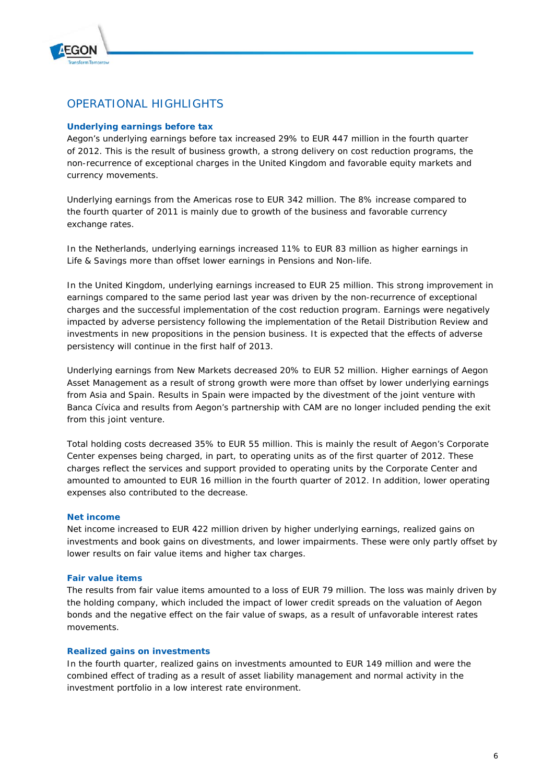

# OPERATIONAL HIGHLIGHTS

## **Underlying earnings before tax**

Aegon's underlying earnings before tax increased 29% to EUR 447 million in the fourth quarter of 2012. This is the result of business growth, a strong delivery on cost reduction programs, the non-recurrence of exceptional charges in the United Kingdom and favorable equity markets and currency movements.

Underlying earnings from the Americas rose to EUR 342 million. The 8% increase compared to the fourth quarter of 2011 is mainly due to growth of the business and favorable currency exchange rates.

In the Netherlands, underlying earnings increased 11% to EUR 83 million as higher earnings in Life & Savings more than offset lower earnings in Pensions and Non-life.

In the United Kingdom, underlying earnings increased to EUR 25 million. This strong improvement in earnings compared to the same period last year was driven by the non-recurrence of exceptional charges and the successful implementation of the cost reduction program. Earnings were negatively impacted by adverse persistency following the implementation of the Retail Distribution Review and investments in new propositions in the pension business. It is expected that the effects of adverse persistency will continue in the first half of 2013.

Underlying earnings from New Markets decreased 20% to EUR 52 million. Higher earnings of Aegon Asset Management as a result of strong growth were more than offset by lower underlying earnings from Asia and Spain. Results in Spain were impacted by the divestment of the joint venture with Banca Cívica and results from Aegon's partnership with CAM are no longer included pending the exit from this joint venture.

Total holding costs decreased 35% to EUR 55 million. This is mainly the result of Aegon's Corporate Center expenses being charged, in part, to operating units as of the first quarter of 2012. These charges reflect the services and support provided to operating units by the Corporate Center and amounted to amounted to EUR 16 million in the fourth quarter of 2012. In addition, lower operating expenses also contributed to the decrease.

## **Net income**

Net income increased to EUR 422 million driven by higher underlying earnings, realized gains on investments and book gains on divestments, and lower impairments. These were only partly offset by lower results on fair value items and higher tax charges.

## **Fair value items**

The results from fair value items amounted to a loss of EUR 79 million. The loss was mainly driven by the holding company, which included the impact of lower credit spreads on the valuation of Aegon bonds and the negative effect on the fair value of swaps, as a result of unfavorable interest rates movements.

## **Realized gains on investments**

In the fourth quarter, realized gains on investments amounted to EUR 149 million and were the combined effect of trading as a result of asset liability management and normal activity in the investment portfolio in a low interest rate environment.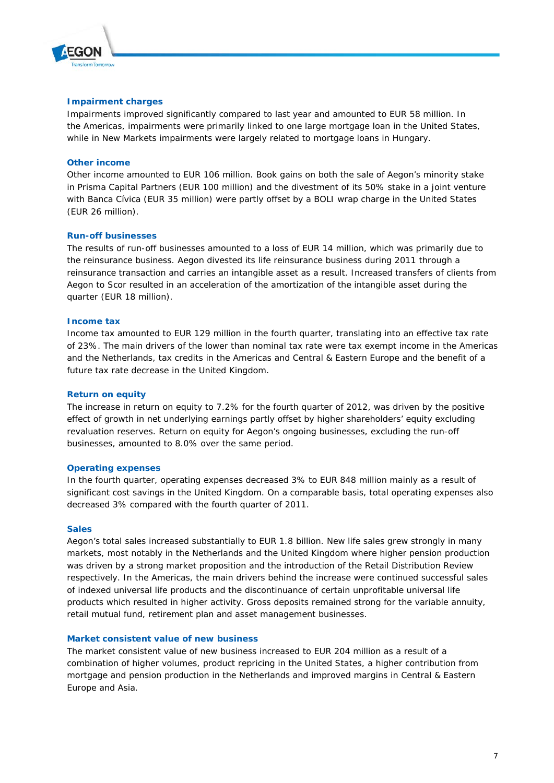

## **Impairment charges**

Impairments improved significantly compared to last year and amounted to EUR 58 million. In the Americas, impairments were primarily linked to one large mortgage loan in the United States, while in New Markets impairments were largely related to mortgage loans in Hungary.

## **Other income**

Other income amounted to EUR 106 million. Book gains on both the sale of Aegon's minority stake in Prisma Capital Partners (EUR 100 million) and the divestment of its 50% stake in a joint venture with Banca Cívica (EUR 35 million) were partly offset by a BOLI wrap charge in the United States (EUR 26 million).

## **Run-off businesses**

The results of run-off businesses amounted to a loss of EUR 14 million, which was primarily due to the reinsurance business. Aegon divested its life reinsurance business during 2011 through a reinsurance transaction and carries an intangible asset as a result. Increased transfers of clients from Aegon to Scor resulted in an acceleration of the amortization of the intangible asset during the quarter (EUR 18 million).

## **Income tax**

Income tax amounted to EUR 129 million in the fourth quarter, translating into an effective tax rate of 23%. The main drivers of the lower than nominal tax rate were tax exempt income in the Americas and the Netherlands, tax credits in the Americas and Central & Eastern Europe and the benefit of a future tax rate decrease in the United Kingdom.

## **Return on equity**

The increase in return on equity to 7.2% for the fourth quarter of 2012, was driven by the positive effect of growth in net underlying earnings partly offset by higher shareholders' equity excluding revaluation reserves. Return on equity for Aegon's ongoing businesses, excluding the run-off businesses, amounted to 8.0% over the same period.

## **Operating expenses**

In the fourth quarter, operating expenses decreased 3% to EUR 848 million mainly as a result of significant cost savings in the United Kingdom. On a comparable basis, total operating expenses also decreased 3% compared with the fourth quarter of 2011.

## **Sales**

Aegon's total sales increased substantially to EUR 1.8 billion. New life sales grew strongly in many markets, most notably in the Netherlands and the United Kingdom where higher pension production was driven by a strong market proposition and the introduction of the Retail Distribution Review respectively. In the Americas, the main drivers behind the increase were continued successful sales of indexed universal life products and the discontinuance of certain unprofitable universal life products which resulted in higher activity. Gross deposits remained strong for the variable annuity, retail mutual fund, retirement plan and asset management businesses.

## **Market consistent value of new business**

The market consistent value of new business increased to EUR 204 million as a result of a combination of higher volumes, product repricing in the United States, a higher contribution from mortgage and pension production in the Netherlands and improved margins in Central & Eastern Europe and Asia.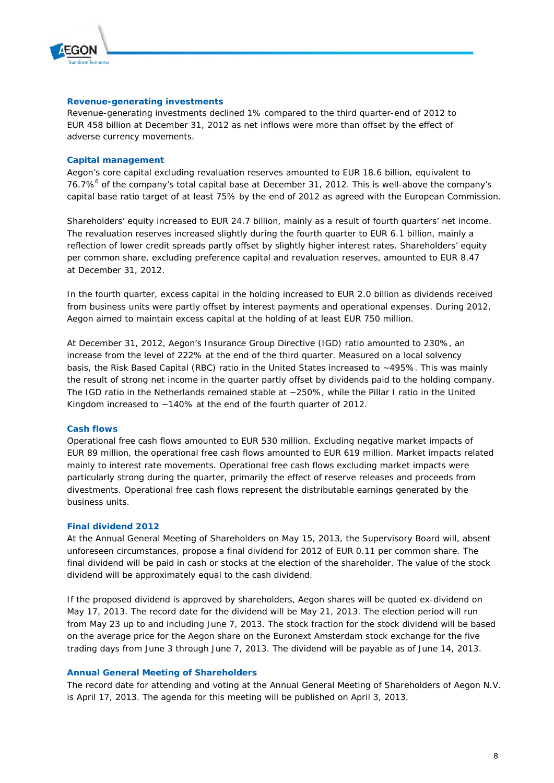

#### **Revenue-generating investments**

Revenue-generating investments declined 1% compared to the third quarter-end of 2012 to EUR 458 billion at December 31, 2012 as net inflows were more than offset by the effect of adverse currency movements.

#### **Capital management**

Aegon's core capital excluding revaluation reserves amounted to EUR 18.6 billion, equivalent to 76.7%<sup>6</sup> of the company's total capital base at December 31, 2012. This is well-above the company's capital base ratio target of at least 75% by the end of 2012 as agreed with the European Commission.

Shareholders' equity increased to EUR 24.7 billion, mainly as a result of fourth quarters' net income. The revaluation reserves increased slightly during the fourth quarter to EUR 6.1 billion, mainly a reflection of lower credit spreads partly offset by slightly higher interest rates. Shareholders' equity per common share, excluding preference capital and revaluation reserves, amounted to EUR 8.47 at December 31, 2012.

In the fourth quarter, excess capital in the holding increased to EUR 2.0 billion as dividends received from business units were partly offset by interest payments and operational expenses. During 2012, Aegon aimed to maintain excess capital at the holding of at least EUR 750 million.

At December 31, 2012, Aegon's Insurance Group Directive (IGD) ratio amounted to 230%, an increase from the level of 222% at the end of the third quarter. Measured on a local solvency basis, the Risk Based Capital (RBC) ratio in the United States increased to ~495%. This was mainly the result of strong net income in the quarter partly offset by dividends paid to the holding company. The IGD ratio in the Netherlands remained stable at ~250%, while the Pillar I ratio in the United Kingdom increased to ~140% at the end of the fourth quarter of 2012.

## **Cash flows**

Operational free cash flows amounted to EUR 530 million. Excluding negative market impacts of EUR 89 million, the operational free cash flows amounted to EUR 619 million. Market impacts related mainly to interest rate movements. Operational free cash flows excluding market impacts were particularly strong during the quarter, primarily the effect of reserve releases and proceeds from divestments. Operational free cash flows represent the distributable earnings generated by the business units.

## **Final dividend 2012**

At the Annual General Meeting of Shareholders on May 15, 2013, the Supervisory Board will, absent unforeseen circumstances, propose a final dividend for 2012 of EUR 0.11 per common share. The final dividend will be paid in cash or stocks at the election of the shareholder. The value of the stock dividend will be approximately equal to the cash dividend.

If the proposed dividend is approved by shareholders, Aegon shares will be quoted ex-dividend on May 17, 2013. The record date for the dividend will be May 21, 2013. The election period will run from May 23 up to and including June 7, 2013. The stock fraction for the stock dividend will be based on the average price for the Aegon share on the Euronext Amsterdam stock exchange for the five trading days from June 3 through June 7, 2013. The dividend will be payable as of June 14, 2013.

## **Annual General Meeting of Shareholders**

The record date for attending and voting at the Annual General Meeting of Shareholders of Aegon N.V. is April 17, 2013. The agenda for this meeting will be published on April 3, 2013.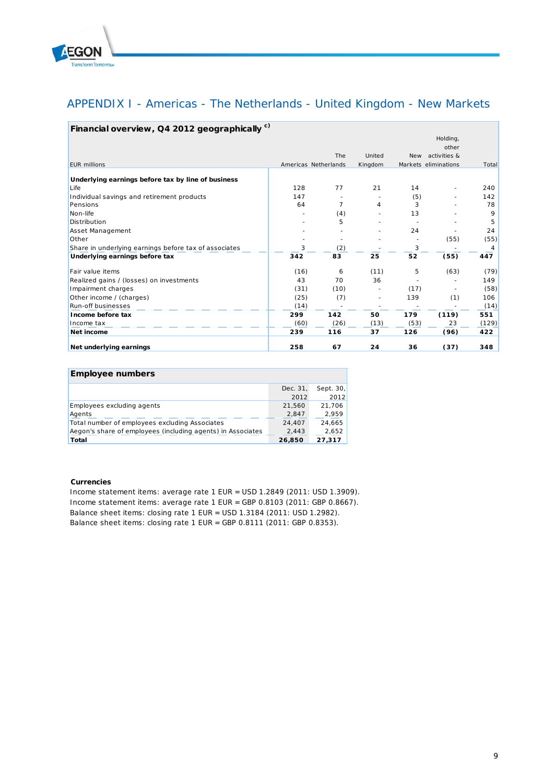

# APPENDIX I - Americas - The Netherlands - United Kingdom - New Markets

# **Financial overview, Q4 2012 geographically c)**

|                                                       |                      |      |         |            | Holding,<br>other    |       |
|-------------------------------------------------------|----------------------|------|---------|------------|----------------------|-------|
|                                                       |                      | The  | United  | <b>New</b> | activities &         |       |
| <b>EUR millions</b>                                   | Americas Netherlands |      | Kingdom |            | Markets eliminations | Total |
| Underlying earnings before tax by line of business    |                      |      |         |            |                      |       |
| Life                                                  | 128                  | 77   | 21      | 14         |                      | 240   |
| Individual savings and retirement products            | 147                  |      |         | (5)        |                      | 142   |
| Pensions                                              | 64                   | 7    | 4       | 3          |                      | 78    |
| Non-life                                              |                      | (4)  |         | 13         |                      | 9     |
| Distribution                                          |                      | 5    |         |            |                      | 5     |
| Asset Management                                      |                      |      |         | 24         |                      | 24    |
| Other                                                 |                      |      |         |            | (55)                 | (55)  |
| Share in underlying earnings before tax of associates | 3                    | (2)  |         | 3          |                      | 4     |
| Underlying earnings before tax                        | 342                  | 83   | 25      | 52         | (55)                 | 447   |
| Fair value items                                      | (16)                 | 6    | (11)    | 5          | (63)                 | (79)  |
| Realized gains / (losses) on investments              | 43                   | 70   | 36      |            |                      | 149   |
| Impairment charges                                    | (31)                 | (10) |         | (17)       |                      | (58)  |
| Other income / (charges)                              | (25)                 | (7)  | ٠       | 139        | (1)                  | 106   |
| <b>Run-off businesses</b>                             | (14)                 |      |         |            |                      | (14)  |
| Income before tax                                     | 299                  | 142  | 50      | 179        | (119)                | 551   |
| Income tax                                            | (60)                 | (26) | (13)    | (53)       | 23                   | (129) |
| Net income                                            | 239                  | 116  | 37      | 126        | (96)                 | 422   |
| Net underlying earnings                               | 258                  | 67   | 24      | 36         | (37)                 | 348   |

| Employee numbers                                            |          |           |
|-------------------------------------------------------------|----------|-----------|
|                                                             | Dec. 31, | Sept. 30, |
|                                                             | 2012     | 2012      |
| Employees excluding agents                                  | 21.560   | 21.706    |
| Agents                                                      | 2,847    | 2,959     |
| Total number of employees excluding Associates              | 24.407   | 24.665    |
| Aegon's share of employees (including agents) in Associates | 2,443    | 2,652     |
| <b>Total</b>                                                | 26,850   | 27,317    |

#### **Currencies**

Income statement items: average rate 1 EUR = USD 1.2849 (2011: USD 1.3909). Income statement items: average rate 1 EUR = GBP 0.8103 (2011: GBP 0.8667). Balance sheet items: closing rate 1 EUR = USD 1.3184 (2011: USD 1.2982). Balance sheet items: closing rate 1 EUR = GBP 0.8111 (2011: GBP 0.8353).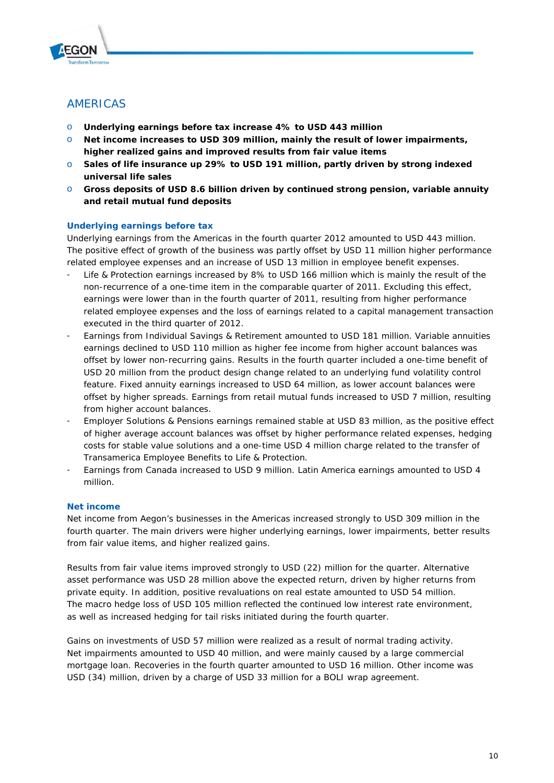

# AMERICAS

- o **Underlying earnings before tax increase 4% to USD 443 million**
- o **Net income increases to USD 309 million, mainly the result of lower impairments, higher realized gains and improved results from fair value items**
- o **Sales of life insurance up 29% to USD 191 million, partly driven by strong indexed universal life sales**
- o **Gross deposits of USD 8.6 billion driven by continued strong pension, variable annuity and retail mutual fund deposits**

## **Underlying earnings before tax**

Underlying earnings from the Americas in the fourth quarter 2012 amounted to USD 443 million. The positive effect of growth of the business was partly offset by USD 11 million higher performance related employee expenses and an increase of USD 13 million in employee benefit expenses.

- Life & Protection earnings increased by 8% to USD 166 million which is mainly the result of the non-recurrence of a one-time item in the comparable quarter of 2011. Excluding this effect, earnings were lower than in the fourth quarter of 2011, resulting from higher performance related employee expenses and the loss of earnings related to a capital management transaction executed in the third quarter of 2012.
- Earnings from Individual Savings & Retirement amounted to USD 181 million. Variable annuities earnings declined to USD 110 million as higher fee income from higher account balances was offset by lower non-recurring gains. Results in the fourth quarter included a one-time benefit of USD 20 million from the product design change related to an underlying fund volatility control feature. Fixed annuity earnings increased to USD 64 million, as lower account balances were offset by higher spreads. Earnings from retail mutual funds increased to USD 7 million, resulting from higher account balances.
- Employer Solutions & Pensions earnings remained stable at USD 83 million, as the positive effect of higher average account balances was offset by higher performance related expenses, hedging costs for stable value solutions and a one-time USD 4 million charge related to the transfer of Transamerica Employee Benefits to Life & Protection.
- Earnings from Canada increased to USD 9 million. Latin America earnings amounted to USD 4 million.

## **Net income**

Net income from Aegon's businesses in the Americas increased strongly to USD 309 million in the fourth quarter. The main drivers were higher underlying earnings, lower impairments, better results from fair value items, and higher realized gains.

Results from fair value items improved strongly to USD (22) million for the quarter. Alternative asset performance was USD 28 million above the expected return, driven by higher returns from private equity. In addition, positive revaluations on real estate amounted to USD 54 million. The macro hedge loss of USD 105 million reflected the continued low interest rate environment, as well as increased hedging for tail risks initiated during the fourth quarter.

Gains on investments of USD 57 million were realized as a result of normal trading activity. Net impairments amounted to USD 40 million, and were mainly caused by a large commercial mortgage loan. Recoveries in the fourth quarter amounted to USD 16 million. Other income was USD (34) million, driven by a charge of USD 33 million for a BOLI wrap agreement.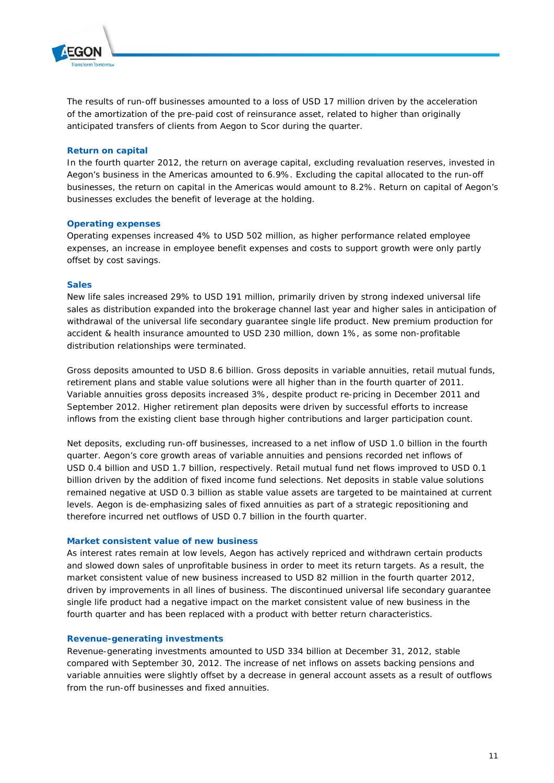

The results of run-off businesses amounted to a loss of USD 17 million driven by the acceleration of the amortization of the pre-paid cost of reinsurance asset, related to higher than originally anticipated transfers of clients from Aegon to Scor during the quarter.

## **Return on capital**

In the fourth quarter 2012, the return on average capital, excluding revaluation reserves, invested in Aegon's business in the Americas amounted to 6.9%. Excluding the capital allocated to the run-off businesses, the return on capital in the Americas would amount to 8.2%. Return on capital of Aegon's businesses excludes the benefit of leverage at the holding.

## **Operating expenses**

Operating expenses increased 4% to USD 502 million, as higher performance related employee expenses, an increase in employee benefit expenses and costs to support growth were only partly offset by cost savings.

## **Sales**

New life sales increased 29% to USD 191 million, primarily driven by strong indexed universal life sales as distribution expanded into the brokerage channel last year and higher sales in anticipation of withdrawal of the universal life secondary guarantee single life product. New premium production for accident & health insurance amounted to USD 230 million, down 1%, as some non-profitable distribution relationships were terminated.

Gross deposits amounted to USD 8.6 billion. Gross deposits in variable annuities, retail mutual funds, retirement plans and stable value solutions were all higher than in the fourth quarter of 2011. Variable annuities gross deposits increased 3%, despite product re-pricing in December 2011 and September 2012. Higher retirement plan deposits were driven by successful efforts to increase inflows from the existing client base through higher contributions and larger participation count.

Net deposits, excluding run-off businesses, increased to a net inflow of USD 1.0 billion in the fourth quarter. Aegon's core growth areas of variable annuities and pensions recorded net inflows of USD 0.4 billion and USD 1.7 billion, respectively. Retail mutual fund net flows improved to USD 0.1 billion driven by the addition of fixed income fund selections. Net deposits in stable value solutions remained negative at USD 0.3 billion as stable value assets are targeted to be maintained at current levels. Aegon is de-emphasizing sales of fixed annuities as part of a strategic repositioning and therefore incurred net outflows of USD 0.7 billion in the fourth quarter.

## **Market consistent value of new business**

As interest rates remain at low levels, Aegon has actively repriced and withdrawn certain products and slowed down sales of unprofitable business in order to meet its return targets. As a result, the market consistent value of new business increased to USD 82 million in the fourth quarter 2012, driven by improvements in all lines of business. The discontinued universal life secondary guarantee single life product had a negative impact on the market consistent value of new business in the fourth quarter and has been replaced with a product with better return characteristics.

## **Revenue-generating investments**

Revenue-generating investments amounted to USD 334 billion at December 31, 2012, stable compared with September 30, 2012. The increase of net inflows on assets backing pensions and variable annuities were slightly offset by a decrease in general account assets as a result of outflows from the run-off businesses and fixed annuities.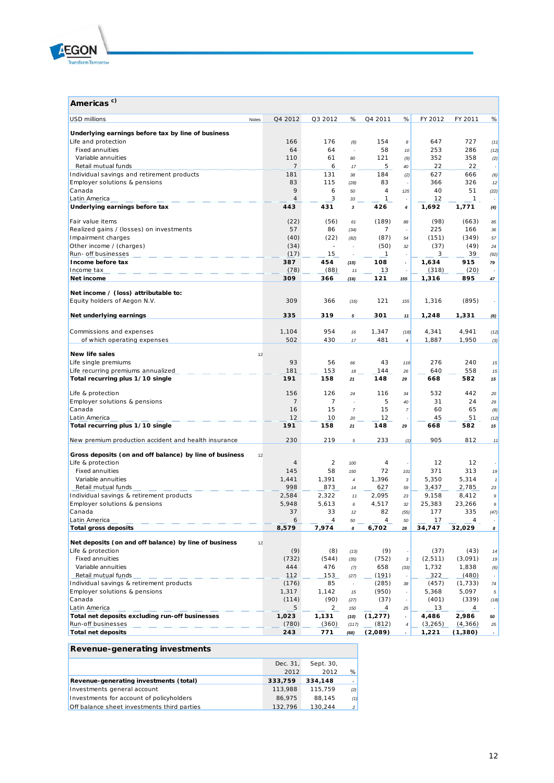

| Americas <sup>c)</sup>                                                |                         |                          |                     |                         |                               |                  |                          |                                   |
|-----------------------------------------------------------------------|-------------------------|--------------------------|---------------------|-------------------------|-------------------------------|------------------|--------------------------|-----------------------------------|
| <b>USD millions</b><br>Notes                                          | Q4 2012                 | Q3 2012                  | %                   | Q4 2011                 | %                             | FY 2012          | FY 2011                  | %                                 |
| Underlying earnings before tax by line of business                    |                         |                          |                     |                         |                               |                  |                          |                                   |
| Life and protection                                                   | 166                     | 176                      | (6)                 | 154                     | 8                             | 647              | 727                      | (11)                              |
| <b>Fixed annuities</b>                                                | 64                      | 64                       | $\bar{\phantom{a}}$ | 58                      | 10                            | 253              | 286                      | (12)                              |
| Variable annuities                                                    | 110                     | 61                       | 80                  | 121                     | (9)                           | 352              | 358                      | (2)                               |
| Retail mutual funds                                                   | $\overline{7}$          | 6                        | 17                  | 5                       | 40                            | 22               | 22                       |                                   |
| Individual savings and retirement products                            | 181                     | 131                      | 38                  | 184                     | (2)                           | 627              | 666                      | (6)                               |
| Employer solutions & pensions                                         | 83                      | 115                      | (28)                | 83                      |                               | 366              | 326                      | $12\,$                            |
| Canada                                                                | 9                       | 6                        | 50                  | 4                       | 125                           | 40               | 51                       | (22)                              |
| Latin America                                                         | $\overline{4}$          | 3                        | 33                  | 1                       | ÷,                            | 12               | 1                        |                                   |
| Underlying earnings before tax                                        | 443                     | 431                      | 3                   | 426                     | 4                             | 1,692            | 1,771                    | (4)                               |
| Fair value items                                                      | (22)                    | (56)                     | 61                  | (189)                   | 88                            | (98)             | (663)                    | 85                                |
| Realized gains / (losses) on investments                              | 57                      | 86                       | (34)                | 7                       | $\overline{\phantom{a}}$      | 225              | 166                      | 36                                |
| Impairment charges                                                    | (40)                    | (22)                     | (82)                | (87)                    | 54                            | (151)            | (349)                    | 57                                |
| Other income / (charges)                                              | (34)                    | $\overline{\phantom{a}}$ | $\bar{z}$           | (50)                    | 32                            | (37)             | (49)                     | 24                                |
| Run- off businesses                                                   | (17)                    | 15                       |                     | 1                       | $\overline{\phantom{a}}$      | 3                | 39                       | (92)                              |
| Income before tax                                                     | 387                     | 454                      | (15)                | 108                     | $\overline{\phantom{a}}$      | 1,634            | 915                      | 79                                |
| Income tax                                                            | (78)                    | (88)                     | $11$                | 13                      | $\overline{\phantom{a}}$      | (318)            | (20)                     |                                   |
| Net income                                                            | 309                     | 366                      | (16)                | 121                     | 155                           | 1,316            | 895                      | 47                                |
| Net income / (loss) attributable to:                                  |                         |                          |                     |                         |                               |                  |                          |                                   |
| Equity holders of Aegon N.V.                                          | 309                     | 366                      | (16)                | 121                     | 155                           | 1,316            | (895)                    |                                   |
|                                                                       |                         |                          |                     |                         |                               |                  |                          |                                   |
| Net underlying earnings                                               | 335                     | 319                      | 5                   | 301                     | 11                            | 1,248            | 1,331                    | (6)                               |
| Commissions and expenses                                              | 1,104                   | 954                      | 16                  | 1,347                   | (18)                          | 4,341            | 4,941                    | (12)                              |
| of which operating expenses                                           | 502                     | 430                      | 17                  | 481                     | $\overline{\mathcal{L}}$      | 1,887            | 1,950                    | (3)                               |
| <b>New life sales</b><br>12                                           |                         |                          |                     |                         |                               |                  |                          |                                   |
| Life single premiums                                                  | 93                      | 56                       | 66                  | 43                      | 116                           | 276              | 240                      | 15                                |
| Life recurring premiums annualized                                    | 181                     | 153                      | 18                  | 144                     | 26                            | 640              | 558                      | 15                                |
| Total recurring plus 1/10 single                                      | 191                     | 158                      | 21                  | 148                     | 29                            | 668              | 582                      | 15                                |
|                                                                       |                         |                          |                     |                         |                               |                  |                          |                                   |
| Life & protection                                                     | 156                     | 126                      | 24                  | 116                     | 34                            | 532              | 442                      | 20                                |
| Employer solutions & pensions                                         | $\overline{7}$          | $\overline{7}$           |                     | 5                       | 40                            | 31               | 24                       | 29                                |
| Canada                                                                | 16<br>12                | 15<br>10                 | $\boldsymbol{7}$    | 15<br>12                | $\overline{7}$                | 60<br>45         | 65                       | (8)                               |
| Latin America                                                         | 191                     | 158                      | 20                  | 148                     | 29                            | 668              | 51<br>582                | (12)<br>15                        |
| Total recurring plus 1/10 single                                      |                         |                          | 21                  |                         |                               |                  |                          |                                   |
| New premium production accident and health insurance                  | 230                     | 219                      | 5                   | 233                     | (1)                           | 905              | 812                      | 11                                |
| Gross deposits (on and off balance) by line of business<br>12         |                         |                          |                     |                         |                               |                  |                          |                                   |
| Life & protection                                                     | 4                       | $\overline{2}$           | 100                 | 4                       |                               | 12               | 12                       |                                   |
| <b>Fixed annuities</b>                                                | 145                     | 58                       | 150                 | 72                      | 101                           | 371              | 313                      | 19                                |
| Variable annuities                                                    | 1,441                   | 1,391                    | $\overline{4}$      | 1,396                   | $\sqrt{3}$                    | 5,350            | 5,314                    | $\pmb{\mathcal{I}}$               |
| Retail mutual funds                                                   | 998                     | 873                      | 14                  | 627                     | 59                            | 3,437            | 2,785                    | 23                                |
| Individual savings & retirement products                              | 2,584                   | 2,322                    | 11                  | 2,095                   | 23                            | 9,158            | 8,412                    | $\boldsymbol{9}$                  |
| Employer solutions & pensions                                         | 5,948                   | 5,613                    | 6                   | 4,517                   | 32                            | 25,383           | 23,266                   | 9                                 |
| Canada                                                                | 37                      | 33                       | 12                  | 82                      | (55)                          | 177              | 335                      | (47)                              |
| Latin America<br><b>Total gross deposits</b>                          | $\overline{6}$<br>8,579 | $\overline{4}$<br>7,974  | 50<br>8             | $\overline{4}$<br>6,702 | 50<br>28                      | 17<br>34,747     | $\overline{4}$<br>32,029 | 8                                 |
|                                                                       |                         |                          |                     |                         |                               |                  |                          |                                   |
| Net deposits (on and off balance) by line of business<br>12           |                         |                          |                     |                         |                               |                  |                          |                                   |
| Life & protection                                                     | (9)                     | (8)                      | (13)                | (9)                     |                               | (37)             | (43)                     | 14                                |
| <b>Fixed annuities</b>                                                | (732)                   | (544)                    | (35)                | (752)                   | 3                             | (2, 511)         | (3,091)                  | 19                                |
| Variable annuities                                                    | 444                     | 476                      | (7)                 | 658                     | (33)                          | 1,732            | 1,838                    | (6)                               |
| Retail mutual funds                                                   | 112                     | 153                      | (27)                | (191)                   | $\overline{\phantom{a}}$      | 322              | (480)                    |                                   |
| Individual savings & retirement products                              | (176)                   | 85                       | $\sim$              | (285)                   | 38                            | (457)            | (1, 733)                 | 74                                |
| Employer solutions & pensions                                         | 1,317                   | 1,142                    | 15                  | (950)                   | $\overline{\phantom{a}}$      | 5,368            | 5,097                    | 5                                 |
| Canada                                                                | (114)                   | (90)                     | (27)                | (37)                    | ÷                             | (401)            | (339)                    | (18)                              |
| Latin America                                                         | 5                       | $\overline{2}$           | 150                 | 4                       | 25                            | 13               | 4                        |                                   |
| Total net deposits excluding run-off businesses<br>Run-off businesses | 1,023<br>(780)          | 1,131<br>(360)           | (10)<br>(117)       | (1, 277)<br>(812)       | $\overline{\phantom{a}}$<br>4 | 4,486<br>(3,265) | 2,986<br>(4,366)         | 50                                |
| <b>Total net deposits</b>                                             | 243                     | 771                      | (68)                | (2,089)                 |                               | 1,221            | (1, 380)                 | 25<br>$\mathcal{L}_{\mathcal{A}}$ |
|                                                                       |                         |                          |                     |                         |                               |                  |                          |                                   |

## **Revenue-generating investments**

|                                             | Dec. 31. | Sept. 30. |                          |
|---------------------------------------------|----------|-----------|--------------------------|
|                                             | 2012     | 2012      | %                        |
| Revenue-generating investments (total)      | 333,759  | 334,148   | $\overline{\phantom{a}}$ |
| Investments general account                 | 113,988  | 115.759   | (2)                      |
| Investments for account of policyholders    | 86.975   | 88.145    | (1)                      |
| Off balance sheet investments third parties | 132,796  | 130.244   | $\overline{c}$           |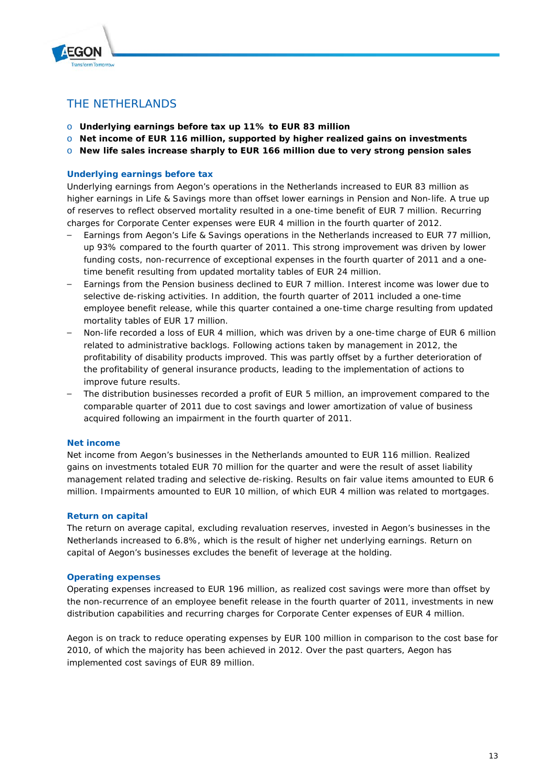

## THE NETHERLANDS

- o **Underlying earnings before tax up 11% to EUR 83 million**
- o **Net income of EUR 116 million, supported by higher realized gains on investments**
- o **New life sales increase sharply to EUR 166 million due to very strong pension sales**

## **Underlying earnings before tax**

Underlying earnings from Aegon's operations in the Netherlands increased to EUR 83 million as higher earnings in Life & Savings more than offset lower earnings in Pension and Non-life. A true up of reserves to reflect observed mortality resulted in a one-time benefit of EUR 7 million. Recurring charges for Corporate Center expenses were EUR 4 million in the fourth quarter of 2012.

- Earnings from Aegon's Life & Savings operations in the Netherlands increased to EUR 77 million, up 93% compared to the fourth quarter of 2011. This strong improvement was driven by lower funding costs, non-recurrence of exceptional expenses in the fourth quarter of 2011 and a onetime benefit resulting from updated mortality tables of EUR 24 million.
- Earnings from the Pension business declined to EUR 7 million. Interest income was lower due to selective de-risking activities. In addition, the fourth quarter of 2011 included a one-time employee benefit release, while this quarter contained a one-time charge resulting from updated mortality tables of EUR 17 million.
- Non-life recorded a loss of EUR 4 million, which was driven by a one-time charge of EUR 6 million related to administrative backlogs. Following actions taken by management in 2012, the profitability of disability products improved. This was partly offset by a further deterioration of the profitability of general insurance products, leading to the implementation of actions to improve future results.
- The distribution businesses recorded a profit of EUR 5 million, an improvement compared to the comparable quarter of 2011 due to cost savings and lower amortization of value of business acquired following an impairment in the fourth quarter of 2011.

## **Net income**

Net income from Aegon's businesses in the Netherlands amounted to EUR 116 million. Realized gains on investments totaled EUR 70 million for the quarter and were the result of asset liability management related trading and selective de-risking. Results on fair value items amounted to EUR 6 million. Impairments amounted to EUR 10 million, of which EUR 4 million was related to mortgages.

## **Return on capital**

The return on average capital, excluding revaluation reserves, invested in Aegon's businesses in the Netherlands increased to 6.8%, which is the result of higher net underlying earnings. Return on capital of Aegon's businesses excludes the benefit of leverage at the holding.

## **Operating expenses**

Operating expenses increased to EUR 196 million, as realized cost savings were more than offset by the non-recurrence of an employee benefit release in the fourth quarter of 2011, investments in new distribution capabilities and recurring charges for Corporate Center expenses of EUR 4 million.

Aegon is on track to reduce operating expenses by EUR 100 million in comparison to the cost base for 2010, of which the majority has been achieved in 2012. Over the past quarters, Aegon has implemented cost savings of EUR 89 million.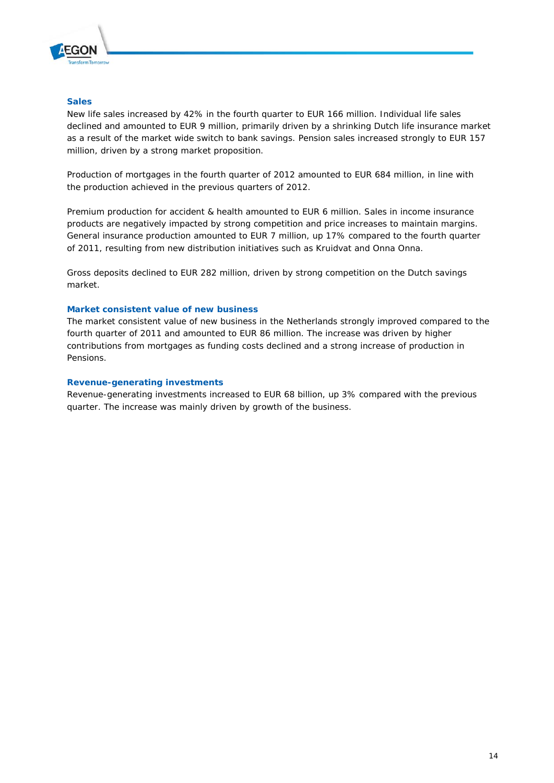

## **Sales**

New life sales increased by 42% in the fourth quarter to EUR 166 million. Individual life sales declined and amounted to EUR 9 million, primarily driven by a shrinking Dutch life insurance market as a result of the market wide switch to bank savings. Pension sales increased strongly to EUR 157 million, driven by a strong market proposition.

Production of mortgages in the fourth quarter of 2012 amounted to EUR 684 million, in line with the production achieved in the previous quarters of 2012.

Premium production for accident & health amounted to EUR 6 million. Sales in income insurance products are negatively impacted by strong competition and price increases to maintain margins. General insurance production amounted to EUR 7 million, up 17% compared to the fourth quarter of 2011, resulting from new distribution initiatives such as Kruidvat and Onna Onna.

Gross deposits declined to EUR 282 million, driven by strong competition on the Dutch savings market.

## **Market consistent value of new business**

The market consistent value of new business in the Netherlands strongly improved compared to the fourth quarter of 2011 and amounted to EUR 86 million. The increase was driven by higher contributions from mortgages as funding costs declined and a strong increase of production in Pensions.

## **Revenue-generating investments**

Revenue-generating investments increased to EUR 68 billion, up 3% compared with the previous quarter. The increase was mainly driven by growth of the business.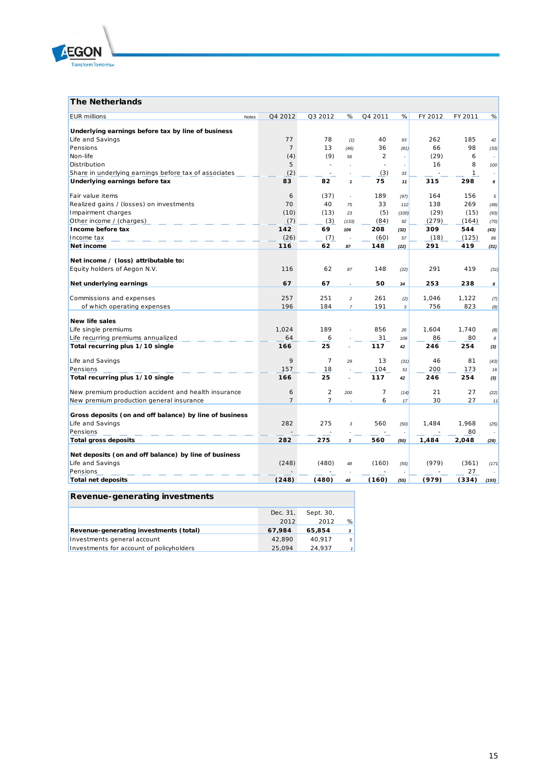

# **The Netherlands**

| <b>EUR</b> millions                                     | Q4 2012<br>Notes | Q3 2012        | %              | Q4 2011        | %      | FY 2012 | FY 2011 | %     |
|---------------------------------------------------------|------------------|----------------|----------------|----------------|--------|---------|---------|-------|
| Underlying earnings before tax by line of business      |                  |                |                |                |        |         |         |       |
| Life and Savings                                        | 77               | 78             | (1)            | 40             | 93     | 262     | 185     | 42    |
| Pensions                                                | $\overline{7}$   | 13             | (46)           | 36             | (81)   | 66      | 98      | (33)  |
| Non-life                                                | (4)              | (9)            | 56             | 2              |        | (29)    | 6       |       |
| Distribution                                            | 5                |                |                |                | ÷,     | 16      | 8       | 100   |
| Share in underlying earnings before tax of associates   | (2)              |                |                | (3)            | 33     |         | 1       |       |
| Underlying earnings before tax                          | 83               | 82             | $\mathbf{1}$   | 75             | 11     | 315     | 298     | 6     |
| Fair value items                                        | 6                | (37)           | $\sim$         | 189            | (97)   | 164     | 156     | 5     |
| Realized gains / (losses) on investments                | 70               | 40             | 75             | 33             | 112    | 138     | 269     | (49)  |
| Impairment charges                                      | (10)             | (13)           | 23             | (5)            | (100)  | (29)    | (15)    | (93)  |
| Other income / (charges)                                | (7)              | (3)            | (133)          | (84)           | 92     | (279)   | (164)   | (70)  |
| Income before tax                                       | 142              | 69             | 106            | 208            | (32)   | 309     | 544     | (43)  |
| Income tax                                              | (26)             | (7)            |                | (60)           | 57     | (18)    | (125)   | 86    |
| Net income                                              | 116              | 62             | 87             | 148            | (22)   | 291     | 419     | (31)  |
| Net income / (loss) attributable to:                    |                  |                |                |                |        |         |         |       |
| Equity holders of Aegon N.V.                            | 116              | 62             | 87             | 148            | (22)   | 291     | 419     | (31)  |
| Net underlying earnings                                 | 67               | 67             | $\overline{a}$ | 50             | 34     | 253     | 238     | 6     |
| Commissions and expenses                                | 257              | 251            | $\overline{a}$ | 261            | (2)    | 1.046   | 1,122   | (7)   |
| of which operating expenses                             | 196              | 184            | $\overline{7}$ | 191            | 3      | 756     | 823     | (8)   |
|                                                         |                  |                |                |                |        |         |         |       |
| <b>New life sales</b>                                   |                  |                |                |                |        |         |         |       |
| Life single premiums                                    | 1,024            | 189            |                | 856            | 20     | 1,604   | 1,740   | (8)   |
| Life recurring premiums annualized                      | 64               | 6              |                | 31             | 106    | 86      | 80      | 8     |
| Total recurring plus 1/10 single                        | 166              | 25             |                | 117            | 42     | 246     | 254     | (3)   |
| Life and Savings                                        | 9                | $\overline{7}$ | 29             | 13             | (31)   | 46      | 81      | (43)  |
| Pensions                                                | 157              | 18             |                | 104            | 51     | 200     | 173     | 16    |
| Total recurring plus 1/10 single                        | 166              | 25             |                | 117            | 42     | 246     | 254     | (3)   |
| New premium production accident and health insurance    | 6                | $\overline{2}$ | 200            | $\overline{7}$ | (14)   | 21      | 27      | (22)  |
| New premium production general insurance                | $\overline{7}$   | $\overline{7}$ |                | 6              | $17\,$ | 30      | 27      | 11    |
| Gross deposits (on and off balance) by line of business |                  |                |                |                |        |         |         |       |
| Life and Savings                                        | 282              | 275            | 3              | 560            | (50)   | 1,484   | 1,968   | (25)  |
| Pensions                                                |                  |                |                |                |        |         | 80      |       |
| <b>Total gross deposits</b>                             | 282              | 275            | 3              | 560            | (50)   | 1,484   | 2,048   | (28)  |
| Net deposits (on and off balance) by line of business   |                  |                |                |                |        |         |         |       |
| Life and Savings                                        | (248)            | (480)          | 48             | (160)          | (55)   | (979)   | (361)   | (171) |
| Pensions                                                |                  |                |                |                |        |         | 27      |       |
| <b>Total net deposits</b>                               | (248)            | (480)          | 48             | (160)          | (55)   | (979)   | (334)   | (193) |
|                                                         |                  |                |                |                |        |         |         |       |
| Revenue-generating investments                          |                  |                |                |                |        |         |         |       |
|                                                         |                  |                |                |                |        |         |         |       |

|                                          | Dec. 31, | Sept. 30. |                           |
|------------------------------------------|----------|-----------|---------------------------|
|                                          | 2012     | 2012      | %                         |
| Revenue-generating investments (total)   | 67.984   | 65.854    | $\boldsymbol{\mathsf{3}}$ |
| Investments general account              | 42.890   | 40.917    | 5                         |
| Investments for account of policyholders | 25.094   | 24.937    |                           |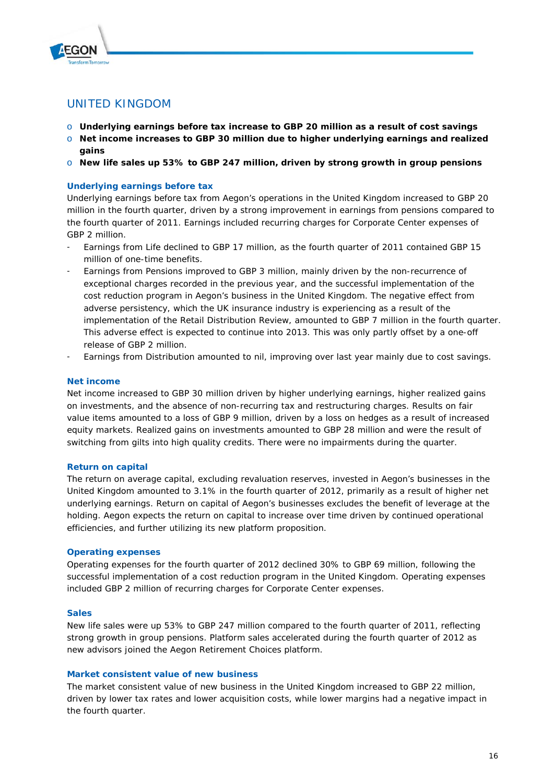

## UNITED KINGDOM

- o **Underlying earnings before tax increase to GBP 20 million as a result of cost savings**
- o **Net income increases to GBP 30 million due to higher underlying earnings and realized gains**
- o **New life sales up 53% to GBP 247 million, driven by strong growth in group pensions**

## **Underlying earnings before tax**

Underlying earnings before tax from Aegon's operations in the United Kingdom increased to GBP 20 million in the fourth quarter, driven by a strong improvement in earnings from pensions compared to the fourth quarter of 2011. Earnings included recurring charges for Corporate Center expenses of GBP 2 million.

- Earnings from Life declined to GBP 17 million, as the fourth quarter of 2011 contained GBP 15 million of one-time benefits.
- Earnings from Pensions improved to GBP 3 million, mainly driven by the non-recurrence of exceptional charges recorded in the previous year, and the successful implementation of the cost reduction program in Aegon's business in the United Kingdom. The negative effect from adverse persistency, which the UK insurance industry is experiencing as a result of the implementation of the Retail Distribution Review, amounted to GBP 7 million in the fourth quarter. This adverse effect is expected to continue into 2013. This was only partly offset by a one-off release of GBP 2 million.
- Earnings from Distribution amounted to nil, improving over last year mainly due to cost savings.

## **Net income**

Net income increased to GBP 30 million driven by higher underlying earnings, higher realized gains on investments, and the absence of non-recurring tax and restructuring charges. Results on fair value items amounted to a loss of GBP 9 million, driven by a loss on hedges as a result of increased equity markets. Realized gains on investments amounted to GBP 28 million and were the result of switching from gilts into high quality credits. There were no impairments during the quarter.

## **Return on capital**

The return on average capital, excluding revaluation reserves, invested in Aegon's businesses in the United Kingdom amounted to 3.1% in the fourth quarter of 2012, primarily as a result of higher net underlying earnings. Return on capital of Aegon's businesses excludes the benefit of leverage at the holding. Aegon expects the return on capital to increase over time driven by continued operational efficiencies, and further utilizing its new platform proposition.

#### **Operating expenses**

Operating expenses for the fourth quarter of 2012 declined 30% to GBP 69 million, following the successful implementation of a cost reduction program in the United Kingdom. Operating expenses included GBP 2 million of recurring charges for Corporate Center expenses.

#### **Sales**

New life sales were up 53% to GBP 247 million compared to the fourth quarter of 2011, reflecting strong growth in group pensions. Platform sales accelerated during the fourth quarter of 2012 as new advisors joined the Aegon Retirement Choices platform.

#### **Market consistent value of new business**

The market consistent value of new business in the United Kingdom increased to GBP 22 million, driven by lower tax rates and lower acquisition costs, while lower margins had a negative impact in the fourth quarter.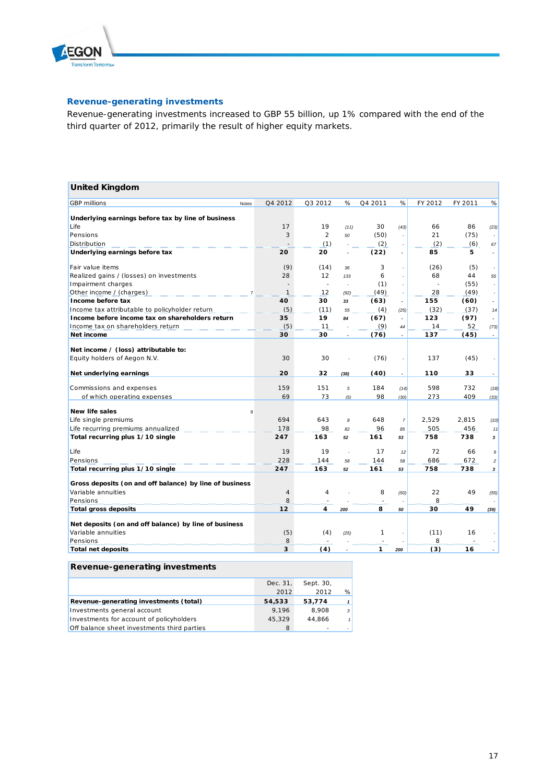

## **Revenue-generating investments**

Revenue-generating investments increased to GBP 55 billion, up 1% compared with the end of the third quarter of 2012, primarily the result of higher equity markets.

| <b>United Kingdom</b>                                   |       |              |                          |                          |         |                          |         |         |                          |
|---------------------------------------------------------|-------|--------------|--------------------------|--------------------------|---------|--------------------------|---------|---------|--------------------------|
| <b>GBP</b> millions                                     | Notes | Q4 2012      | Q3 2012                  | %                        | Q4 2011 | %                        | FY 2012 | FY 2011 | %                        |
| Underlying earnings before tax by line of business      |       |              |                          |                          |         |                          |         |         |                          |
| Life                                                    |       | 17           | 19                       | (11)                     | 30      | (43)                     | 66      | 86      | (23)                     |
| Pensions                                                |       | 3            | 2                        | 50                       | (50)    | $\overline{\phantom{a}}$ | 21      | (75)    | $\sim$                   |
| Distribution                                            |       |              | (1)                      |                          | (2)     | ÷,                       | (2)     | (6)     | 67                       |
| Underlying earnings before tax                          |       | 20           | 20                       | $\overline{a}$           | (22)    | ä,                       | 85      | 5       |                          |
|                                                         |       |              |                          |                          |         |                          |         |         |                          |
| Fair value items                                        |       | (9)          | (14)                     | 36                       | 3       |                          | (26)    | (5)     |                          |
| Realized gains / (losses) on investments                |       | 28           | 12                       | 133                      | 6       |                          | 68      | 44      | 55                       |
| Impairment charges                                      |       |              | $\overline{\phantom{a}}$ |                          | (1)     |                          |         | (55)    |                          |
| Other income / (charges)                                |       | $\mathbf{1}$ | 12                       | (92)                     | (49)    | ÷,                       | 28      | (49)    |                          |
| Income before tax                                       |       | 40           | 30                       | 33                       | (63)    | $\overline{\phantom{a}}$ | 155     | (60)    | $\overline{\phantom{a}}$ |
| Income tax attributable to policyholder return          |       | (5)          | (11)                     | 55                       | (4)     | (25)                     | (32)    | (37)    | 14                       |
| Income before income tax on shareholders return         |       | 35           | 19                       | 84                       | (67)    | $\overline{\phantom{a}}$ | 123     | (97)    |                          |
| Income tax on shareholders return                       |       | (5)          | 11                       |                          | (9)     | 44                       | 14      | 52      | (73)                     |
| Net income                                              |       | 30           | 30                       |                          | (76)    | $\blacksquare$           | 137     | (45)    | $\tilde{\phantom{a}}$    |
|                                                         |       |              |                          |                          |         |                          |         |         |                          |
| Net income / (loss) attributable to:                    |       |              |                          |                          |         |                          |         |         |                          |
| Equity holders of Aegon N.V.                            |       | 30           | 30                       |                          | (76)    |                          | 137     | (45)    |                          |
| Net underlying earnings                                 |       | 20           | 32                       | (38)                     | (40)    | $\overline{\phantom{a}}$ | 110     | 33      |                          |
|                                                         |       |              |                          |                          |         |                          |         |         |                          |
| Commissions and expenses                                |       | 159          | 151                      | 5                        | 184     | (14)                     | 598     | 732     | (18)                     |
| of which operating expenses                             |       | 69           | 73                       | (5)                      | 98      | (30)                     | 273     | 409     | (33)                     |
|                                                         |       |              |                          |                          |         |                          |         |         |                          |
| New life sales                                          | 8     |              |                          |                          |         |                          |         |         |                          |
| Life single premiums                                    |       | 694          | 643                      | 8                        | 648     | $\overline{7}$           | 2,529   | 2,815   | (10)                     |
| Life recurring premiums annualized                      |       | 178          | 98                       | 82                       | 96      | 85                       | 505     | 456     | 11                       |
| Total recurring plus 1/10 single                        |       | 247          | 163                      | 52                       | 161     | 53                       | 758     | 738     | 3                        |
| Life                                                    |       | 19           | 19                       | $\overline{\phantom{a}}$ | 17      | 12                       | 72      | 66      | 9                        |
| Pensions                                                |       | 228          | 144                      | 58                       | 144     | 58                       | 686     | 672     | $\boldsymbol{2}$         |
| Total recurring plus 1/10 single                        |       | 247          | 163                      | 52                       | 161     | 53                       | 758     | 738     | 3                        |
|                                                         |       |              |                          |                          |         |                          |         |         |                          |
| Gross deposits (on and off balance) by line of business |       |              |                          |                          |         |                          |         |         |                          |
| Variable annuities                                      |       | 4            | 4                        |                          | 8       | (50)                     | 22      | 49      | (55)                     |
| Pensions                                                |       | 8            |                          |                          |         |                          | 8       |         |                          |
| <b>Total gross deposits</b>                             |       | 12           | 4                        | 200                      | 8       | 50                       | 30      | 49      | (39)                     |
|                                                         |       |              |                          |                          |         |                          |         |         |                          |
| Net deposits (on and off balance) by line of business   |       |              |                          |                          |         |                          |         |         |                          |
| Variable annuities                                      |       | (5)          | (4)                      | (25)                     | 1       |                          | (11)    | 16      |                          |
| Pensions                                                |       | 8            |                          |                          |         |                          | 8       |         |                          |
| <b>Total net deposits</b>                               |       | 3            | (4)                      |                          | 1       | 200                      | (3)     | 16      |                          |

| Revenue-generating investments              |          |           |              |
|---------------------------------------------|----------|-----------|--------------|
|                                             | Dec. 31, | Sept. 30. |              |
|                                             | 2012     | 2012      | %            |
| Revenue-generating investments (total)      | 54,533   | 53,774    | $\mathbf{1}$ |
| Investments general account                 | 9.196    | 8.908     | $\mathbf{3}$ |
| Investments for account of policyholders    | 45.329   | 44.866    | $\mathbf{1}$ |
| Off balance sheet investments third parties | 8        |           |              |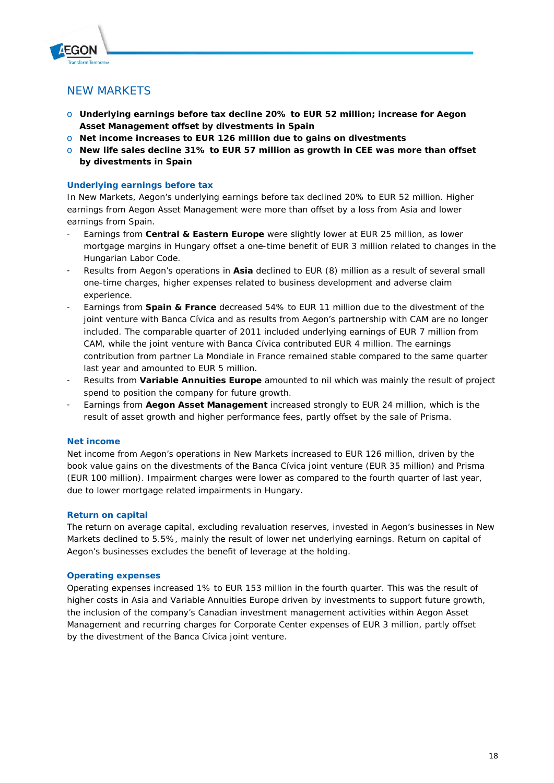

# NEW MARKETS

- o **Underlying earnings before tax decline 20% to EUR 52 million; increase for Aegon Asset Management offset by divestments in Spain**
- o **Net income increases to EUR 126 million due to gains on divestments**
- o **New life sales decline 31% to EUR 57 million as growth in CEE was more than offset by divestments in Spain**

## **Underlying earnings before tax**

In New Markets, Aegon's underlying earnings before tax declined 20% to EUR 52 million. Higher earnings from Aegon Asset Management were more than offset by a loss from Asia and lower earnings from Spain.

- Earnings from **Central & Eastern Europe** were slightly lower at EUR 25 million, as lower mortgage margins in Hungary offset a one-time benefit of EUR 3 million related to changes in the Hungarian Labor Code.
- Results from Aegon's operations in **Asia** declined to EUR (8) million as a result of several small one-time charges, higher expenses related to business development and adverse claim experience.
- Earnings from **Spain & France** decreased 54% to EUR 11 million due to the divestment of the joint venture with Banca Cívica and as results from Aegon's partnership with CAM are no longer included. The comparable quarter of 2011 included underlying earnings of EUR 7 million from CAM, while the joint venture with Banca Cívica contributed EUR 4 million. The earnings contribution from partner La Mondiale in France remained stable compared to the same quarter last year and amounted to EUR 5 million.
- Results from **Variable Annuities Europe** amounted to nil which was mainly the result of project spend to position the company for future growth.
- Earnings from **Aegon Asset Management** increased strongly to EUR 24 million, which is the result of asset growth and higher performance fees, partly offset by the sale of Prisma.

## **Net income**

Net income from Aegon's operations in New Markets increased to EUR 126 million, driven by the book value gains on the divestments of the Banca Cívica joint venture (EUR 35 million) and Prisma (EUR 100 million). Impairment charges were lower as compared to the fourth quarter of last year, due to lower mortgage related impairments in Hungary.

## **Return on capital**

The return on average capital, excluding revaluation reserves, invested in Aegon's businesses in New Markets declined to 5.5%, mainly the result of lower net underlying earnings. Return on capital of Aegon's businesses excludes the benefit of leverage at the holding.

## **Operating expenses**

Operating expenses increased 1% to EUR 153 million in the fourth quarter. This was the result of higher costs in Asia and Variable Annuities Europe driven by investments to support future growth, the inclusion of the company's Canadian investment management activities within Aegon Asset Management and recurring charges for Corporate Center expenses of EUR 3 million, partly offset by the divestment of the Banca Cívica joint venture.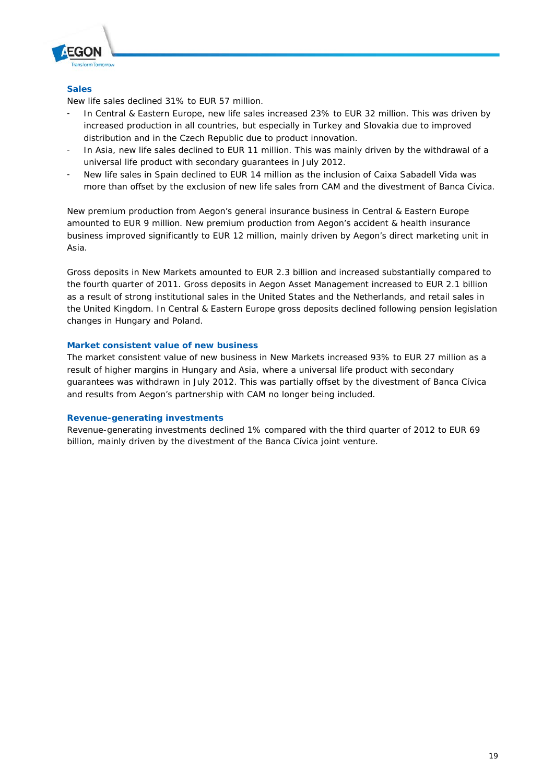

## **Sales**

New life sales declined 31% to EUR 57 million.

- In Central & Eastern Europe, new life sales increased 23% to EUR 32 million. This was driven by increased production in all countries, but especially in Turkey and Slovakia due to improved distribution and in the Czech Republic due to product innovation.
- In Asia, new life sales declined to EUR 11 million. This was mainly driven by the withdrawal of a universal life product with secondary guarantees in July 2012.
- New life sales in Spain declined to EUR 14 million as the inclusion of Caixa Sabadell Vida was more than offset by the exclusion of new life sales from CAM and the divestment of Banca Cívica.

New premium production from Aegon's general insurance business in Central & Eastern Europe amounted to EUR 9 million. New premium production from Aegon's accident & health insurance business improved significantly to EUR 12 million, mainly driven by Aegon's direct marketing unit in Asia.

Gross deposits in New Markets amounted to EUR 2.3 billion and increased substantially compared to the fourth quarter of 2011. Gross deposits in Aegon Asset Management increased to EUR 2.1 billion as a result of strong institutional sales in the United States and the Netherlands, and retail sales in the United Kingdom. In Central & Eastern Europe gross deposits declined following pension legislation changes in Hungary and Poland.

## **Market consistent value of new business**

The market consistent value of new business in New Markets increased 93% to EUR 27 million as a result of higher margins in Hungary and Asia, where a universal life product with secondary guarantees was withdrawn in July 2012. This was partially offset by the divestment of Banca Cívica and results from Aegon's partnership with CAM no longer being included.

## **Revenue-generating investments**

Revenue-generating investments declined 1% compared with the third quarter of 2012 to EUR 69 billion, mainly driven by the divestment of the Banca Cívica joint venture.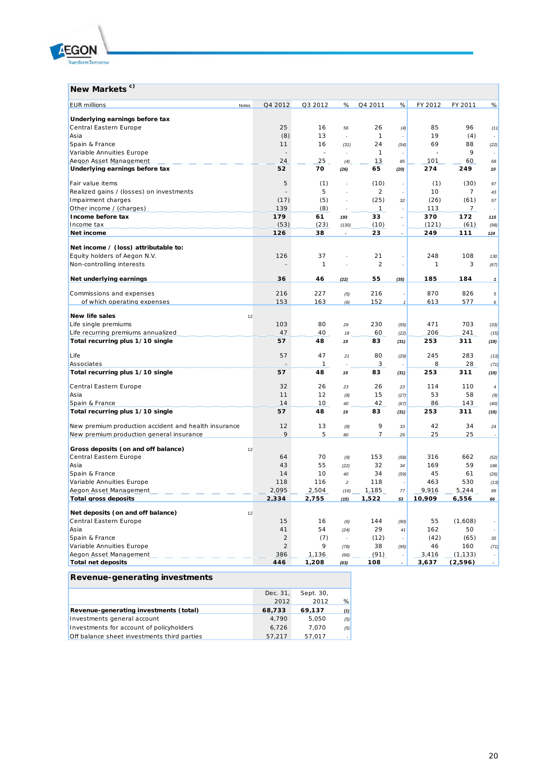

## **New Markets c)**

| <b>EUR</b> millions<br>Notes<br>Underlying earnings before tax<br>Central Eastern Europe<br>Asia | Q4 2012<br>25  | Q3 2012       | $\%$                     | Q4 2011        | %                        | FY 2012 | FY 2011        | %              |
|--------------------------------------------------------------------------------------------------|----------------|---------------|--------------------------|----------------|--------------------------|---------|----------------|----------------|
|                                                                                                  |                |               |                          |                |                          |         |                |                |
|                                                                                                  |                |               |                          |                |                          |         |                |                |
|                                                                                                  |                | 16            | 56                       | 26             | (4)                      | 85      | 96             | (11)           |
|                                                                                                  | (8)            | 13            | ÷,                       | $\mathbf{1}$   |                          | 19      | (4)            |                |
| Spain & France                                                                                   | 11             | 16            | (31)                     | 24             | (54)                     | 69      | 88             | (22)           |
| Variable Annuities Europe                                                                        |                | $\sim$        | $\epsilon$               | $\mathbf{1}$   |                          |         | 9              |                |
| Aegon Asset Management                                                                           | 24             | 25            |                          | 13             | 85                       | 101     | 60             | 68             |
| Underlying earnings before tax                                                                   | 52             | 70            | (4)<br>(26)              | 65             |                          | 274     | 249            | 10             |
|                                                                                                  |                |               |                          |                | (20)                     |         |                |                |
| Fair value items                                                                                 | 5              | (1)           |                          | (10)           | ÷,                       | (1)     | (30)           | 97             |
| Realized gains / (losses) on investments                                                         |                | 5             |                          | 2              | ÷.                       | 10      | $\overline{7}$ | 43             |
| Impairment charges                                                                               | (17)           | (5)           |                          | (25)           | 32                       | (26)    | (61)           | 57             |
| Other income / (charges)                                                                         | 139            | (8)           |                          | $\mathbf{1}$   |                          | 113     | $7^{\circ}$    |                |
| Income before tax                                                                                | 179            | 61            | 193                      | 33             | $\overline{\phantom{a}}$ | 370     | 172            | 115            |
| Income tax                                                                                       | (53)           | (23)          | (130)                    | (10)           | ÷,                       | (121)   | (61)           | (98)           |
| Net income                                                                                       | 126            | 38            | $\overline{\phantom{a}}$ | 23             | $\overline{\phantom{a}}$ | 249     | 111            | 124            |
| Net income / (loss) attributable to:                                                             |                |               |                          |                |                          |         |                |                |
| Equity holders of Aegon N.V.                                                                     | 126            | 37            |                          | 21             |                          | 248     | 108            | 130            |
| Non-controlling interests                                                                        |                | $\mathcal{I}$ |                          | $\overline{2}$ | ÷,                       | 1       | 3              | (67)           |
|                                                                                                  |                |               |                          |                |                          |         |                |                |
| Net underlying earnings                                                                          | 36             | 46            | (22)                     | 55             | (35)                     | 185     | 184            | $\mathbf{1}$   |
| Commissions and expenses                                                                         | 216            | 227           | (5)                      | 216            |                          | 870     | 826            | 5              |
| of which operating expenses                                                                      | 153            | 163           | (6)                      | 152            | $\mathbf{1}$             | 613     | 577            | 6              |
|                                                                                                  |                |               |                          |                |                          |         |                |                |
| New life sales                                                                                   | 12             |               |                          |                |                          |         |                |                |
| Life single premiums                                                                             | 103            | 80            | 29                       | 230            | (55)                     | 471     | 703            | (33)           |
| Life recurring premiums annualized                                                               | 47             | 40            | 18                       | 60             | (22)                     | 206     | 241            | (15)           |
| Total recurring plus 1/10 single                                                                 | 57             | 48            | 19                       | 83             | (31)                     | 253     | 311            | (19)           |
| Life                                                                                             | 57             | 47            | 21                       | 80             | (29)                     | 245     | 283            | (13)           |
| Associates                                                                                       |                | $\mathbf{1}$  |                          | 3              |                          | 8       | 28             | (71)           |
| Total recurring plus 1/10 single                                                                 | 57             | 48            | 19                       | 83             | (31)                     | 253     | 311            | (19)           |
| Central Eastern Europe                                                                           | 32             | 26            | 23                       | 26             | 23                       | 114     | 110            | 4              |
| Asia                                                                                             | 11             | 12            | (8)                      | 15             | (27)                     | 53      | 58             |                |
|                                                                                                  | 14             | 10            |                          | 42             |                          | 86      |                | (9)            |
| Spain & France<br>Total recurring plus 1/10 single                                               | 57             | 48            | 40<br>19                 | 83             | (67)<br>(31)             | 253     | 143<br>311     | (40)<br>(19)   |
|                                                                                                  |                |               |                          |                |                          |         |                |                |
| New premium production accident and health insurance                                             | 12             | 13            | (8)                      | 9              | 33                       | 42      | 34             | 24             |
| New premium production general insurance                                                         | 9              | 5             | 80                       | 7              | 29                       | 25      | 25             |                |
| Gross deposits (on and off balance)                                                              | 12             |               |                          |                |                          |         |                |                |
| Central Eastern Europe                                                                           | 64             | 70            | (9)                      | 153            | (58)                     | 316     | 662            | (52)           |
| Asia                                                                                             | 43             | 55            | (22)                     | 32             | 34                       | 169     | 59             | 186            |
| Spain & France                                                                                   | 14             | 10            | 40                       | 34             | (59)                     | 45      | 61             | (26)           |
| Variable Annuities Europe                                                                        | 118            | 116           | $\overline{a}$           | 118            |                          | 463     | 530            | (13)           |
| Aegon Asset Management                                                                           | 2.095          | 2,504         | (16)                     | 1,185          | 77                       | 9,916   | 5,244          | 89             |
| <b>Total gross deposits</b>                                                                      | 2,334          | 2,755         | (15)                     | 1,522          | 53                       | 10,909  | 6,556          | 66             |
|                                                                                                  |                |               |                          |                |                          |         |                |                |
| Net deposits (on and off balance)                                                                | 12             |               |                          |                |                          |         |                |                |
| Central Eastern Europe                                                                           | 15             | 16            | (6)                      | 144            | (90)                     | 55      | (1,608)        |                |
| Asia                                                                                             | 41             | 54            | (24)                     | 29             | 41                       | 162     | 50             |                |
| Spain & France                                                                                   | $\overline{2}$ | (7)           | ÷.                       | (12)           | $\overline{\phantom{a}}$ | (42)    | (65)           | 35             |
| Variable Annuities Europe                                                                        | $\overline{2}$ | 9             | (78)                     | 38             | (95)                     | 46      | 160            | (71)           |
| Aegon Asset Management                                                                           | 386            | 1,136         | (66)                     | (91)           |                          | 3,416   | (1, 133)       |                |
| <b>Total net deposits</b>                                                                        | 446            | 1,208         | (63)                     | 108            | $\overline{\phantom{a}}$ | 3,637   | (2,596)        | $\blacksquare$ |

|                                             | Dec. 31. | Sept. 30. |      |
|---------------------------------------------|----------|-----------|------|
|                                             | 2012     | 2012      | $\%$ |
| Revenue-generating investments (total)      | 68,733   | 69.137    | (1)  |
| Investments general account                 | 4.790    | 5.050     | (5)  |
| Investments for account of policyholders    | 6.726    | 7.070     | (5)  |
| Off balance sheet investments third parties | 57,217   | 57,017    | ٠    |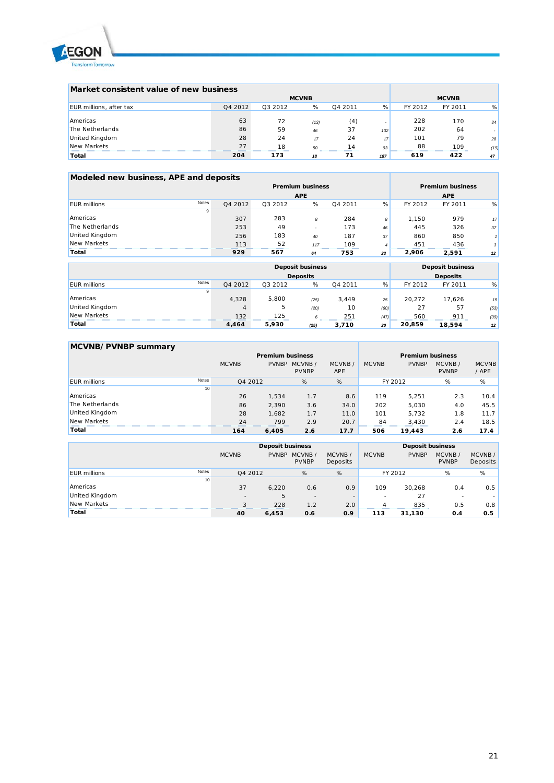

| Market consistent value of new business |         |              |      |         |     |         |         |      |
|-----------------------------------------|---------|--------------|------|---------|-----|---------|---------|------|
|                                         |         | <b>MCVNB</b> |      |         |     |         |         |      |
| EUR millions, after tax                 | Q4 2012 | Q3 2012      | %    | Q4 2011 | %   | FY 2012 | FY 2011 | %    |
|                                         |         |              |      |         |     |         |         |      |
| Americas                                | 63      | 72           | (13) | (4)     |     | 228     | 170     | 34   |
| The Netherlands                         | 86      | 59           | 46   | 37      | 132 | 202     | 64      |      |
| United Kingdom                          | 28      | 24           | 17   | 24      | 17  | 101     | 79      | 28   |
| New Markets                             | 27      | 18           | 50   | 14      | 93  | 88      | 109     | (19) |
| Total                                   | 204     | 173          | 18   | 71      | 187 | 619     | 422     | 47   |

| Modeled new business, APE and deposits |                         |         |         |     |            |    |         |         |    |
|----------------------------------------|-------------------------|---------|---------|-----|------------|----|---------|---------|----|
|                                        | <b>Premium business</b> |         |         |     |            |    |         |         |    |
|                                        |                         |         |         |     | <b>APE</b> |    |         |         |    |
| <b>EUR millions</b>                    | <b>Notes</b>            | Q4 2012 | Q3 2012 | %   | Q4 2011    | %  | FY 2012 | FY 2011 | %  |
|                                        | 9                       |         |         |     |            |    |         |         |    |
| Americas                               |                         | 307     | 283     | 8   | 284        | 8  | 1.150   | 979     | 17 |
| The Netherlands                        |                         | 253     | 49      |     | 173        | 46 | 445     | 326     | 37 |
| <b>United Kingdom</b>                  |                         | 256     | 183     | 40  | 187        | 37 | 860     | 850     |    |
| New Markets                            |                         | 113     | 52      | 117 | 109        |    | 451     | 436     | 3  |
| Total                                  |                         | 929     | 567     | 64  | 753        | 23 | 2.906   | 2,591   | 12 |

|                     |       |         | <b>Deposit business</b> | <b>Deposit business</b> |                 |      |         |         |      |
|---------------------|-------|---------|-------------------------|-------------------------|-----------------|------|---------|---------|------|
|                     |       |         | <b>Deposits</b>         |                         | <b>Deposits</b> |      |         |         |      |
| <b>EUR</b> millions | Notes | Q4 2012 | Q3 2012                 | %                       | Q4 2011         | %    | FY 2012 | FY 2011 | %    |
|                     | 9     |         |                         |                         |                 |      |         |         |      |
| Americas            |       | 4,328   | 5.800                   | (25)                    | 3.449           | 25   | 20.272  | 17,626  | 15   |
| United Kingdom      |       | 4       | ь                       | (20)                    | 10              | (60) | 27      | 57      | (53) |
| New Markets         |       | 132     | 125                     | 6                       | 251             | (47) | 560     | 911     | (39) |
| Total               |       | 4,464   | 5,930                   | (25)                    | 3.710           | 20   | 20.859  | 18,594  | 12   |

| MCVNB/PVNBP summary |              |              |              |                         |                      |                         |              |                        |                       |  |
|---------------------|--------------|--------------|--------------|-------------------------|----------------------|-------------------------|--------------|------------------------|-----------------------|--|
|                     |              |              |              | <b>Premium business</b> |                      | <b>Premium business</b> |              |                        |                       |  |
|                     |              | <b>MCVNB</b> | <b>PVNBP</b> | MCVNB/<br><b>PVNBP</b>  | MCVNB/<br><b>APE</b> | <b>MCVNB</b>            | <b>PVNBP</b> | MCVNB/<br><b>PVNBP</b> | <b>MCVNB</b><br>/ APE |  |
| <b>EUR</b> millions | <b>Notes</b> | Q4 2012      |              | %                       | %                    |                         | FY 2012      | %                      | %                     |  |
|                     | 10           |              |              |                         |                      |                         |              |                        |                       |  |
| Americas            |              | 26           | 1.534        | 1.7                     | 8.6                  | 119                     | 5.251        | 2.3                    | 10.4                  |  |
| The Netherlands     |              | 86           | 2.390        | 3.6                     | 34.0                 | 202                     | 5,030        | 4.0                    | 45.5                  |  |
| United Kingdom      |              | 28           | 1.682        | 1.7                     | 11.0                 | 101                     | 5.732        | 1.8                    | 11.7                  |  |
| New Markets         |              | 24           | 799          | 2.9                     | 20.7                 | 84                      | 3,430        | 2.4                    | 18.5                  |  |
| Total               |              | 164          | 6,405        | 2.6                     | 17.7                 | 506                     | 19,443       | 2.6                    | 17.4                  |  |

|                              |                | <b>Deposit business</b> |                          | <b>Deposit business</b>  |              |              |                        |                    |
|------------------------------|----------------|-------------------------|--------------------------|--------------------------|--------------|--------------|------------------------|--------------------|
|                              | <b>MCVNB</b>   | <b>PVNBP</b>            | MCVNB/<br><b>PVNBP</b>   | MCVNB/<br>Deposits       | <b>MCVNB</b> | <b>PVNBP</b> | MCVNB/<br><b>PVNBP</b> | MCVNB/<br>Deposits |
| Notes<br><b>EUR millions</b> | Q4 2012        |                         | %                        | %                        |              | FY 2012      | %                      | %                  |
| 10                           |                |                         |                          |                          |              |              |                        |                    |
| Americas                     | 37             | 6.220                   | 0.6                      | 0.9                      | 109          | 30.268       | 0.4                    | 0.5                |
| United Kingdom               | $\overline{a}$ | 5                       | $\overline{\phantom{a}}$ | $\overline{\phantom{a}}$ | ۰            | 27           | $\sim$                 |                    |
| New Markets                  | З              | 228                     | 1.2                      | 2.0                      | Δ            | 835          | 0.5                    | 0.8                |
| Total                        | 40             | 6,453                   | 0.6                      | 0.9                      | 113          | 31.130       | 0.4                    | 0.5                |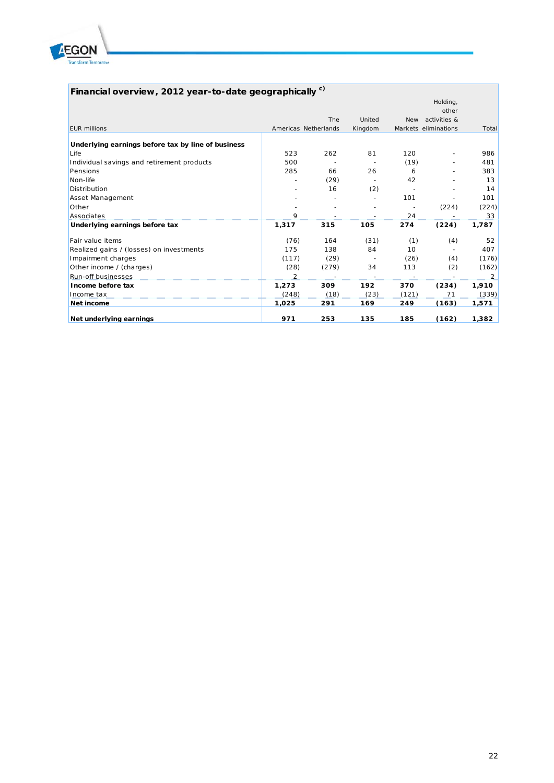

# **Financial overview, 2012 year-to-date geographically c)**

|                                                    |       |                      |                          |            | Holding,             |       |
|----------------------------------------------------|-------|----------------------|--------------------------|------------|----------------------|-------|
|                                                    |       |                      |                          |            | other                |       |
|                                                    |       | The                  | United                   | <b>New</b> | activities &         |       |
| <b>EUR millions</b>                                |       | Americas Netherlands | Kingdom                  |            | Markets eliminations | Total |
| Underlying earnings before tax by line of business |       |                      |                          |            |                      |       |
| Life                                               | 523   | 262                  | 81                       | 120        |                      | 986   |
| Individual savings and retirement products         | 500   |                      |                          | (19)       |                      | 481   |
| Pensions                                           | 285   | 66                   | 26                       | 6          |                      | 383   |
| Non-life                                           |       | (29)                 | $\overline{\phantom{a}}$ | 42         |                      | 13    |
| <b>Distribution</b>                                |       | 16                   | (2)                      |            |                      | 14    |
| Asset Management                                   |       |                      | ٠                        | 101        |                      | 101   |
| Other                                              |       |                      |                          |            | (224)                | (224) |
| Associates                                         | 9     |                      |                          | 24         |                      | 33    |
| Underlying earnings before tax                     | 1,317 | 315                  | 105                      | 274        | (224)                | 1,787 |
| Fair value items                                   | (76)  | 164                  | (31)                     | (1)        | (4)                  | 52    |
| Realized gains / (losses) on investments           | 175   | 138                  | 84                       | 10         |                      | 407   |
| Impairment charges                                 | (117) | (29)                 |                          | (26)       | (4)                  | (176) |
| Other income / (charges)                           | (28)  | (279)                | 34                       | 113        | (2)                  | (162) |
| <b>Run-off businesses</b>                          | 2     |                      |                          |            |                      | 2     |
| Income before tax                                  | 1,273 | 309                  | 192                      | 370        | (234)                | 1,910 |
| Income tax                                         | (248) | (18)                 | (23)                     | (121)      | 71                   | (339) |
| Net income                                         | 1,025 | 291                  | 169                      | 249        | (163)                | 1,571 |
| Net underlying earnings                            | 971   | 253                  | 135                      | 185        | (162)                | 1,382 |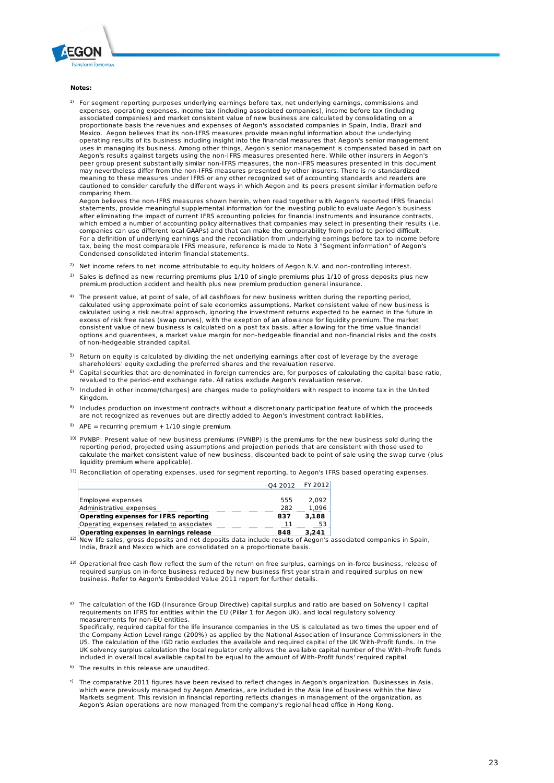

#### **Notes:**

<sup>1)</sup> For segment reporting purposes underlying earnings before tax, net underlying earnings, commissions and expenses, operating expenses, income tax (including associated companies), income before tax (including associated companies) and market consistent value of new business are calculated by consolidating on a proportionate basis the revenues and expenses of Aegon's associated companies in Spain, India, Brazil and Mexico. Aegon believes that its non-IFRS measures provide meaningful information about the underlying operating results of its business including insight into the financial measures that Aegon's senior management uses in managing its business. Among other things, Aegon's senior management is compensated based in part on Aegon's results against targets using the non-IFRS measures presented here. While other insurers in Aegon's peer group present substantially similar non-IFRS measures, the non-IFRS measures presented in this document may nevertheless differ from the non-IFRS measures presented by other insurers. There is no standardized meaning to these measures under IFRS or any other recognized set of accounting standards and readers are cautioned to consider carefully the different ways in which Aegon and its peers present similar information before comparing them.

Aegon believes the non-IFRS measures shown herein, when read together with Aegon's reported IFRS financial statements, provide meaningful supplemental information for the investing public to evaluate Aegon's business after eliminating the impact of current IFRS accounting policies for financial instruments and insurance contracts, which embed a number of accounting policy alternatives that companies may select in presenting their results (i.e. companies can use different local GAAPs) and that can make the comparability from period to period difficult. For a definition of underlying earnings and the reconciliation from underlying earnings before tax to income before tax, being the most comparable IFRS measure, reference is made to Note 3 "Segment information" of Aegon's Condensed consolidated interim financial statements.

- <sup>2)</sup> Net income refers to net income attributable to equity holders of Aegon N.V. and non-controlling interest.
- <sup>3)</sup> Sales is defined as new recurring premiums plus 1/10 of single premiums plus 1/10 of gross deposits plus new premium production accident and health plus new premium production general insurance
- 4) The present value, at point of sale, of all cashflows for new business written during the reporting period, calculated using approximate point of sale economics assumptions. Market consistent value of new business is calculated using a risk neutral approach, ignoring the investment returns expected to be earned in the future in excess of risk free rates (swap curves), with the exeption of an allowance for liquidity premium. The market consistent value of new business is calculated on a post tax basis, after allowing for the time value financial options and guarentees, a market value margin for non-hedgeable financial and non-financial risks and the costs of non-hedgeable stranded capital.
- 5) Return on equity is calculated by dividing the net underlying earnings after cost of leverage by the average shareholders' equity excluding the preferred shares and the revaluation reserve.
- 6) Capital securities that are denominated in foreign currencies are, for purposes of calculating the capital base ratio, revalued to the period-end exchange rate. All ratios exclude Aegon's revaluation reserve.
- $7)$  Included in other income/(charges) are charges made to policyholders with respect to income tax in the United Kingdom.
- <sup>8)</sup> Includes production on investment contracts without a discretionary participation feature of which the proceeds are not recognized as revenues but are directly added to Aegon's investment contract liabilities.
- <sup>9)</sup> APE = recurring premium  $+1/10$  single premium.
- <sup>10)</sup> PVNBP: Present value of new business premiums (PVNBP) is the premiums for the new business sold during the reporting period, projected using assumptions and projection periods that are consistent with those used to calculate the market consistent value of new business, discounted back to point of sale using the swap curve (plus liquidity premium where applicable).
- <sup>11)</sup> Reconciliation of operating expenses, used for segment reporting, to Aegon's IFRS based operating expenses.

| Operating expenses in earnings release   | 848             | 3.241 |
|------------------------------------------|-----------------|-------|
| Operating expenses related to associates | 11              | 53    |
| Operating expenses for IFRS reporting    | 837             | 3,188 |
| Administrative expenses                  | 282             | 1.096 |
| Employee expenses                        | 555             | 2.092 |
|                                          |                 |       |
|                                          | O4 2012 FY 2012 |       |

- <sup>12)</sup> New life sales, gross deposits and net deposits data include results of Aegon's associated companies in Spain, India, Brazil and Mexico which are consolidated on a proportionate basis.
- <sup>13)</sup> Operational free cash flow reflect the sum of the return on free surplus, earnings on in-force business, release of required surplus on in-force business reduced by new business first year strain and required surplus on new business. Refer to Aegon's Embedded Value 2011 report for further details.

a) The calculation of the IGD (Insurance Group Directive) capital surplus and ratio are based on Solvency I capital requirements on IFRS for entities within the EU (Pillar 1 for Aegon UK), and local regulatory solvency measurements for non-EU entities. Specifically, required capital for the life insurance companies in the US is calculated as two times the upper end of the Company Action Level range (200%) as applied by the National Association of Insurance Commissioners in the

US. The calculation of the IGD ratio excludes the available and required capital of the UK With-Profit funds. In the UK solvency surplus calculation the local regulator only allows the available capital number of the With-Profit funds included in overall local available capital to be equal to the amount of With-Profit funds' required capital.

b) The results in this release are unaudited.

<sup>c)</sup> The comparative 2011 figures have been revised to reflect changes in Aegon's organization. Businesses in Asia, which were previously managed by Aegon Americas, are included in the Asia line of business within the New Markets segment. This revision in financial reporting reflects changes in management of the organization, as Aegon's Asian operations are now managed from the company's regional head office in Hong Kong.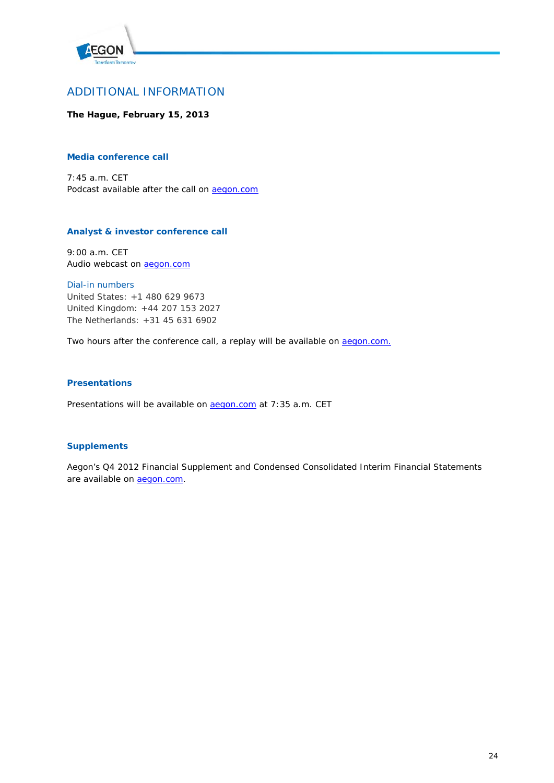

# ADDITIONAL INFORMATION

## **The Hague, February 15, 2013**

## **Media conference call**

7:45 a.m. CET Podcast available after the call on **aegon.com** 

## **Analyst & investor conference call**

9:00 a.m. CET Audio webcast on **aegon.com** 

*Dial-in numbers* United States: +1 480 629 9673 United Kingdom: +44 207 153 2027 The Netherlands: +31 45 631 6902

Two hours after the conference call, a replay will be available on **aegon.com.** 

## **Presentations**

Presentations will be available on **aegon.com** at 7:35 a.m. CET

#### **Supplements**

Aegon's Q4 2012 Financial Supplement and Condensed Consolidated Interim Financial Statements are available on **aegon.com**.